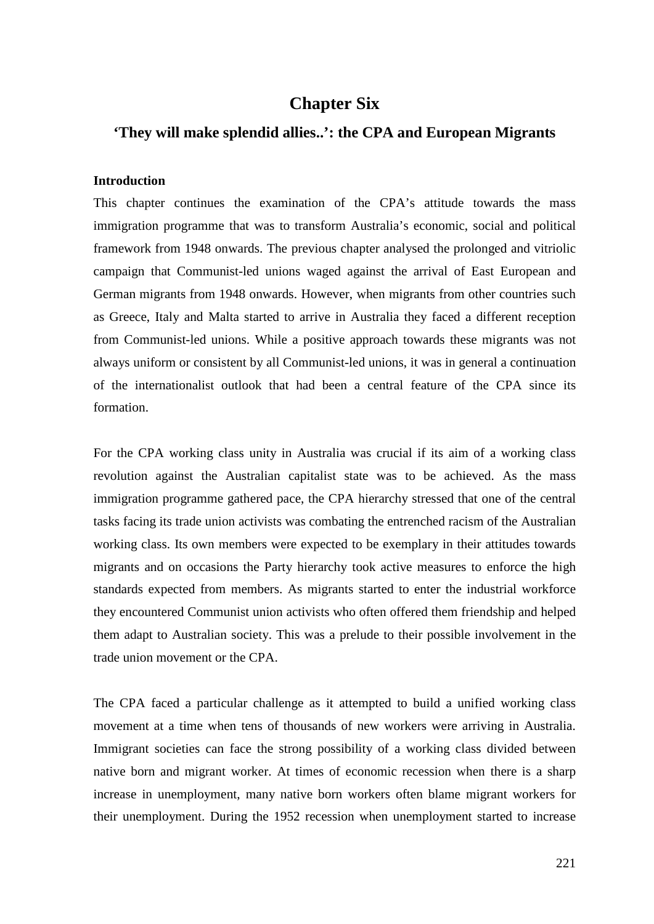# **Chapter Six**

# **'They will make splendid allies..': the CPA and European Migrants**

#### **Introduction**

This chapter continues the examination of the CPA's attitude towards the mass immigration programme that was to transform Australia's economic, social and political framework from 1948 onwards. The previous chapter analysed the prolonged and vitriolic campaign that Communist-led unions waged against the arrival of East European and German migrants from 1948 onwards. However, when migrants from other countries such as Greece, Italy and Malta started to arrive in Australia they faced a different reception from Communist-led unions. While a positive approach towards these migrants was not always uniform or consistent by all Communist-led unions, it was in general a continuation of the internationalist outlook that had been a central feature of the CPA since its formation.

For the CPA working class unity in Australia was crucial if its aim of a working class revolution against the Australian capitalist state was to be achieved. As the mass immigration programme gathered pace, the CPA hierarchy stressed that one of the central tasks facing its trade union activists was combating the entrenched racism of the Australian working class. Its own members were expected to be exemplary in their attitudes towards migrants and on occasions the Party hierarchy took active measures to enforce the high standards expected from members. As migrants started to enter the industrial workforce they encountered Communist union activists who often offered them friendship and helped them adapt to Australian society. This was a prelude to their possible involvement in the trade union movement or the CPA.

The CPA faced a particular challenge as it attempted to build a unified working class movement at a time when tens of thousands of new workers were arriving in Australia. Immigrant societies can face the strong possibility of a working class divided between native born and migrant worker. At times of economic recession when there is a sharp increase in unemployment, many native born workers often blame migrant workers for their unemployment. During the 1952 recession when unemployment started to increase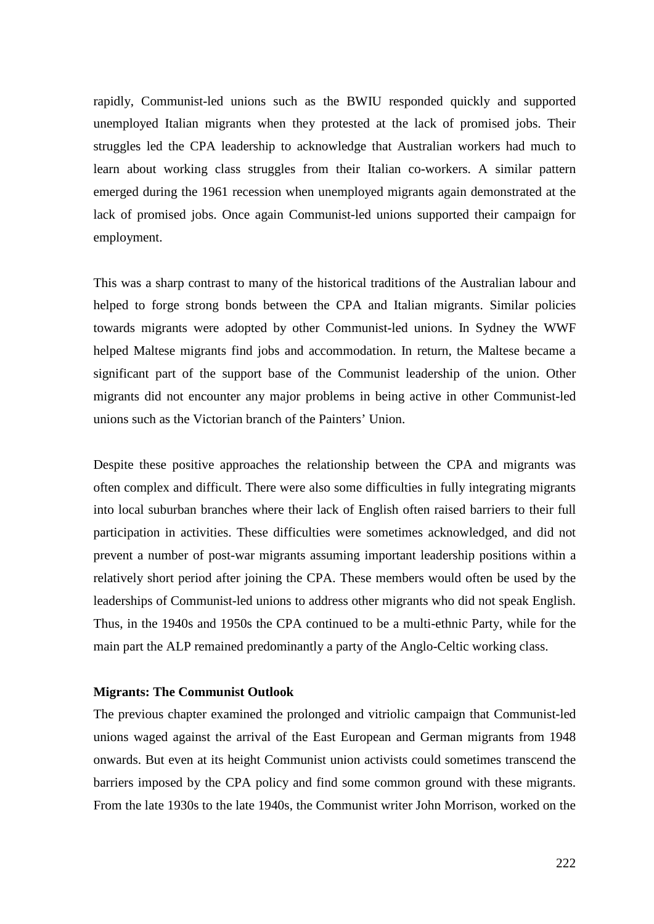rapidly, Communist-led unions such as the BWIU responded quickly and supported unemployed Italian migrants when they protested at the lack of promised jobs. Their struggles led the CPA leadership to acknowledge that Australian workers had much to learn about working class struggles from their Italian co-workers. A similar pattern emerged during the 1961 recession when unemployed migrants again demonstrated at the lack of promised jobs. Once again Communist-led unions supported their campaign for employment.

This was a sharp contrast to many of the historical traditions of the Australian labour and helped to forge strong bonds between the CPA and Italian migrants. Similar policies towards migrants were adopted by other Communist-led unions. In Sydney the WWF helped Maltese migrants find jobs and accommodation. In return, the Maltese became a significant part of the support base of the Communist leadership of the union. Other migrants did not encounter any major problems in being active in other Communist-led unions such as the Victorian branch of the Painters' Union.

Despite these positive approaches the relationship between the CPA and migrants was often complex and difficult. There were also some difficulties in fully integrating migrants into local suburban branches where their lack of English often raised barriers to their full participation in activities. These difficulties were sometimes acknowledged, and did not prevent a number of post-war migrants assuming important leadership positions within a relatively short period after joining the CPA. These members would often be used by the leaderships of Communist-led unions to address other migrants who did not speak English. Thus, in the 1940s and 1950s the CPA continued to be a multi-ethnic Party, while for the main part the ALP remained predominantly a party of the Anglo-Celtic working class.

### **Migrants: The Communist Outlook**

The previous chapter examined the prolonged and vitriolic campaign that Communist-led unions waged against the arrival of the East European and German migrants from 1948 onwards. But even at its height Communist union activists could sometimes transcend the barriers imposed by the CPA policy and find some common ground with these migrants. From the late 1930s to the late 1940s, the Communist writer John Morrison, worked on the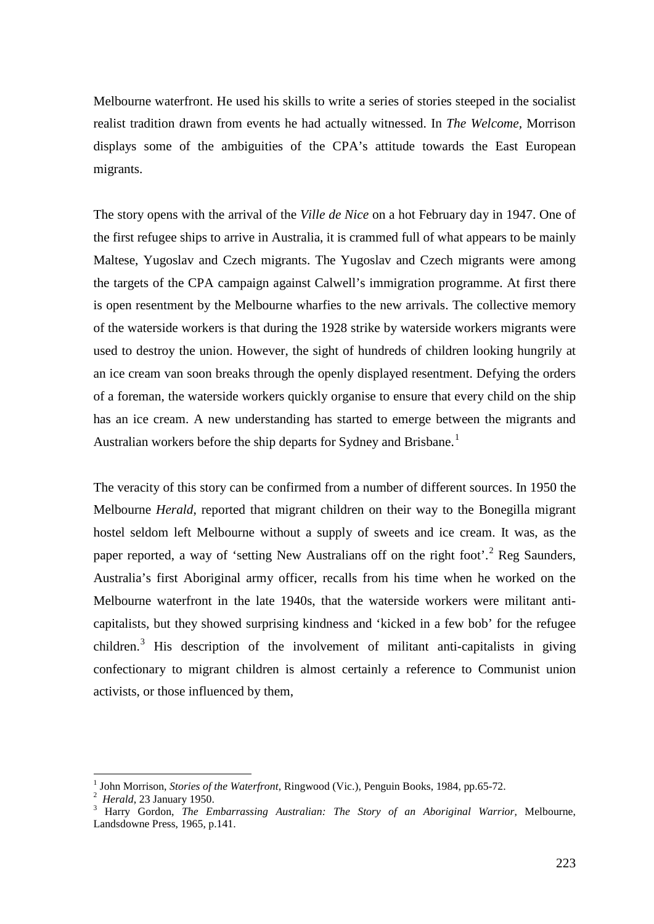Melbourne waterfront. He used his skills to write a series of stories steeped in the socialist realist tradition drawn from events he had actually witnessed. In *The Welcome,* Morrison displays some of the ambiguities of the CPA's attitude towards the East European migrants.

The story opens with the arrival of the *Ville de Nice* on a hot February day in 1947. One of the first refugee ships to arrive in Australia, it is crammed full of what appears to be mainly Maltese, Yugoslav and Czech migrants. The Yugoslav and Czech migrants were among the targets of the CPA campaign against Calwell's immigration programme. At first there is open resentment by the Melbourne wharfies to the new arrivals. The collective memory of the waterside workers is that during the 1928 strike by waterside workers migrants were used to destroy the union. However, the sight of hundreds of children looking hungrily at an ice cream van soon breaks through the openly displayed resentment. Defying the orders of a foreman, the waterside workers quickly organise to ensure that every child on the ship has an ice cream. A new understanding has started to emerge between the migrants and Australian workers before the ship departs for Sydney and Brisbane.<sup>[1](#page-2-0)</sup>

The veracity of this story can be confirmed from a number of different sources. In 1950 the Melbourne *Herald*, reported that migrant children on their way to the Bonegilla migrant hostel seldom left Melbourne without a supply of sweets and ice cream. It was, as the paper reported, a way of 'setting New Australians off on the right foot'.<sup>[2](#page-2-1)</sup> Reg Saunders, Australia's first Aboriginal army officer, recalls from his time when he worked on the Melbourne waterfront in the late 1940s, that the waterside workers were militant anticapitalists, but they showed surprising kindness and 'kicked in a few bob' for the refugee children.[3](#page-2-2) His description of the involvement of militant anti-capitalists in giving confectionary to migrant children is almost certainly a reference to Communist union activists, or those influenced by them,

<span id="page-2-0"></span>John Morrison, *Stories of the Waterfront*, Ringwood (Vic.), Penguin Books, 1984, pp.65-72. *Herald*, 23 January 1950.

<span id="page-2-1"></span>

<span id="page-2-2"></span><sup>&</sup>lt;sup>3</sup> Harry Gordon, *The Embarrassing Australian: The Story of an Aboriginal Warrior*, Melbourne, Landsdowne Press, 1965, p.141.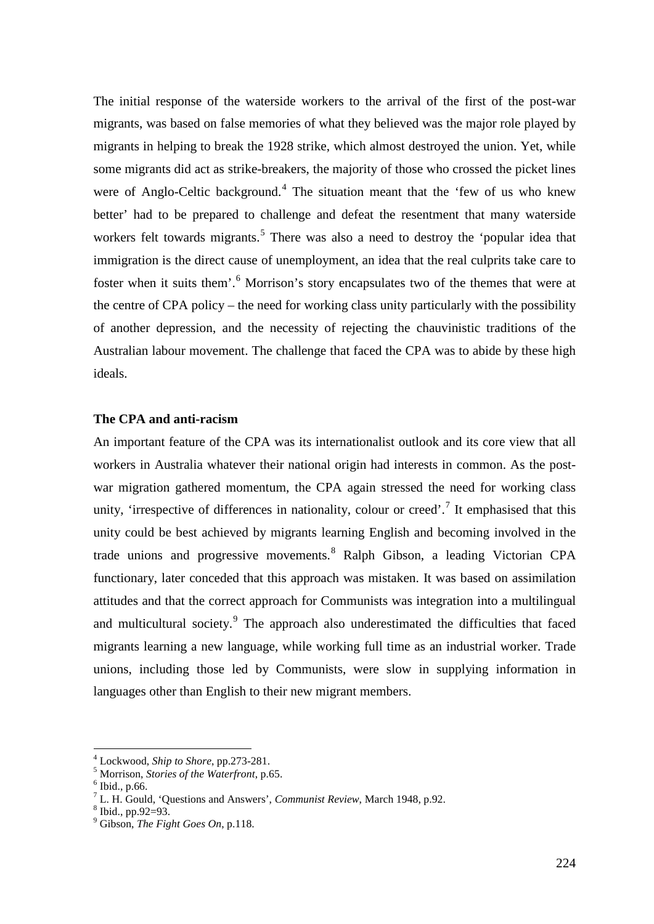The initial response of the waterside workers to the arrival of the first of the post-war migrants, was based on false memories of what they believed was the major role played by migrants in helping to break the 1928 strike, which almost destroyed the union. Yet, while some migrants did act as strike-breakers, the majority of those who crossed the picket lines were of Anglo-Celtic background.<sup>[4](#page-3-0)</sup> The situation meant that the 'few of us who knew better' had to be prepared to challenge and defeat the resentment that many waterside workers felt towards migrants.<sup>[5](#page-3-1)</sup> There was also a need to destroy the 'popular idea that immigration is the direct cause of unemployment, an idea that the real culprits take care to foster when it suits them'.<sup>[6](#page-3-2)</sup> Morrison's story encapsulates two of the themes that were at the centre of CPA policy – the need for working class unity particularly with the possibility of another depression, and the necessity of rejecting the chauvinistic traditions of the Australian labour movement. The challenge that faced the CPA was to abide by these high ideals.

#### **The CPA and anti-racism**

An important feature of the CPA was its internationalist outlook and its core view that all workers in Australia whatever their national origin had interests in common. As the postwar migration gathered momentum, the CPA again stressed the need for working class unity, 'irrespective of differences in nationality, colour or creed'.<sup>[7](#page-3-3)</sup> It emphasised that this unity could be best achieved by migrants learning English and becoming involved in the trade unions and progressive movements.<sup>[8](#page-3-4)</sup> Ralph Gibson, a leading Victorian CPA functionary, later conceded that this approach was mistaken. It was based on assimilation attitudes and that the correct approach for Communists was integration into a multilingual and multicultural society.<sup>[9](#page-3-5)</sup> The approach also underestimated the difficulties that faced migrants learning a new language, while working full time as an industrial worker. Trade unions, including those led by Communists, were slow in supplying information in languages other than English to their new migrant members.

<span id="page-3-1"></span><span id="page-3-0"></span><sup>4</sup> Lockwood, *Ship to Shore*, pp.273-281. <sup>5</sup> Morrison, *Stories of the Waterfront*, p.65. <sup>6</sup> Ibid., p.66.

<span id="page-3-2"></span>

<span id="page-3-3"></span><sup>&</sup>lt;sup>7</sup> L. H. Gould, 'Questions and Answers', *Communist Review*, March 1948, p.92. <sup>8</sup> Ibid., pp.92=93.

<span id="page-3-4"></span>

<span id="page-3-5"></span><sup>9</sup> Gibson, *The Fight Goes On*, p.118.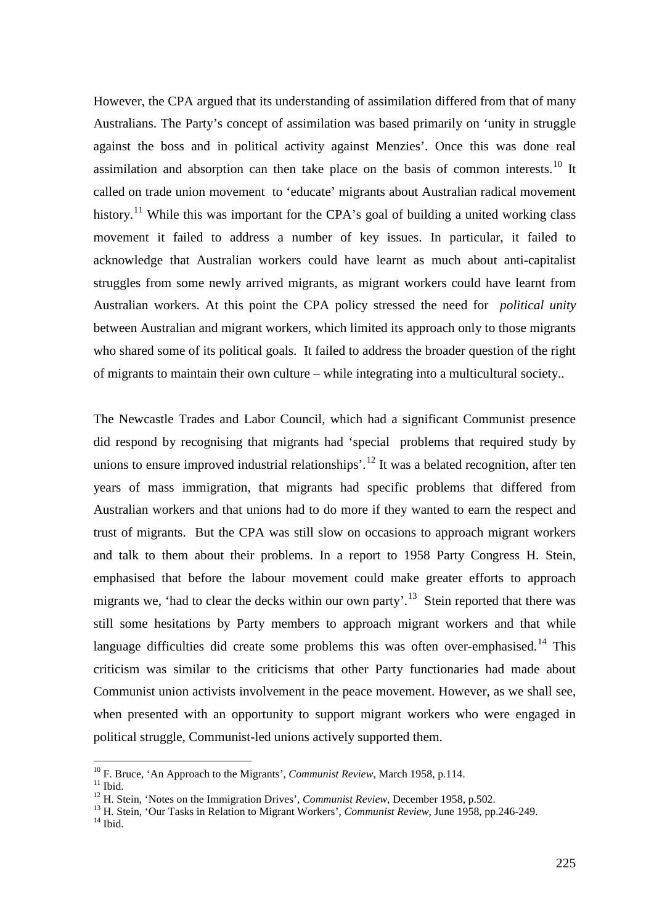However, the CPA argued that its understanding of assimilation differed from that of many Australians. The Party's concept of assimilation was based primarily on 'unity in struggle against the boss and in political activity against Menzies'. Once this was done real assimilation and absorption can then take place on the basis of common interests.<sup>[10](#page-4-0)</sup> It called on trade union movement to 'educate' migrants about Australian radical movement history.<sup>[11](#page-4-1)</sup> While this was important for the CPA's goal of building a united working class movement it failed to address a number of key issues. In particular, it failed to acknowledge that Australian workers could have learnt as much about anti-capitalist struggles from some newly arrived migrants, as migrant workers could have learnt from Australian workers. At this point the CPA policy stressed the need for *political unity* between Australian and migrant workers, which limited its approach only to those migrants who shared some of its political goals. It failed to address the broader question of the right of migrants to maintain their own culture – while integrating into a multicultural society..

The Newcastle Trades and Labor Council, which had a significant Communist presence did respond by recognising that migrants had 'special problems that required study by unions to ensure improved industrial relationships'.<sup>[12](#page-4-2)</sup> It was a belated recognition, after ten years of mass immigration, that migrants had specific problems that differed from Australian workers and that unions had to do more if they wanted to earn the respect and trust of migrants. But the CPA was still slow on occasions to approach migrant workers and talk to them about their problems. In a report to 1958 Party Congress H. Stein, emphasised that before the labour movement could make greater efforts to approach migrants we, 'had to clear the decks within our own party'.<sup>13</sup> Stein reported that there was still some hesitations by Party members to approach migrant workers and that while language difficulties did create some problems this was often over-emphasised.<sup>[14](#page-4-4)</sup> This criticism was similar to the criticisms that other Party functionaries had made about Communist union activists involvement in the peace movement. However, as we shall see, when presented with an opportunity to support migrant workers who were engaged in political struggle, Communist-led unions actively supported them.

<span id="page-4-1"></span><span id="page-4-0"></span><sup>&</sup>lt;sup>10</sup> F. Bruce, 'An Approach to the Migrants', *Communist Review*, March 1958, p.114.<br><sup>11</sup> Ibid

<span id="page-4-3"></span><span id="page-4-2"></span>

<sup>&</sup>lt;sup>12</sup> H. Stein, 'Notes on the Immigration Drives', *Communist Review*, December 1958, p.502.<br><sup>13</sup> H. Stein, 'Our Tasks in Relation to Migrant Workers', *Communist Review*, June 1958, pp.246-249.<br><sup>14</sup> Ibid.

<span id="page-4-4"></span>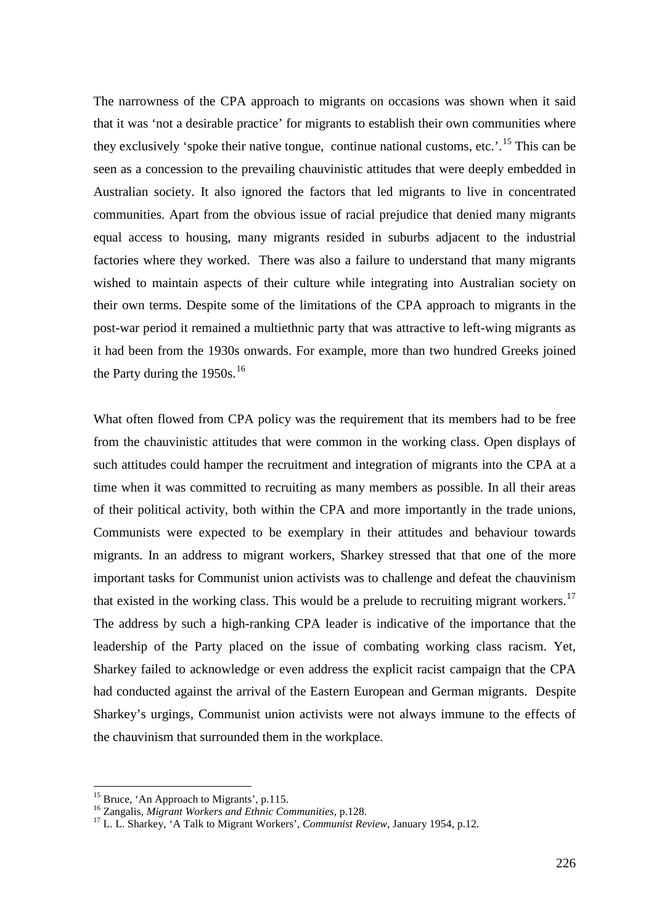The narrowness of the CPA approach to migrants on occasions was shown when it said that it was 'not a desirable practice' for migrants to establish their own communities where they exclusively 'spoke their native tongue, continue national customs, etc.'.<sup>[15](#page-5-0)</sup> This can be seen as a concession to the prevailing chauvinistic attitudes that were deeply embedded in Australian society. It also ignored the factors that led migrants to live in concentrated communities. Apart from the obvious issue of racial prejudice that denied many migrants equal access to housing, many migrants resided in suburbs adjacent to the industrial factories where they worked. There was also a failure to understand that many migrants wished to maintain aspects of their culture while integrating into Australian society on their own terms. Despite some of the limitations of the CPA approach to migrants in the post-war period it remained a multiethnic party that was attractive to left-wing migrants as it had been from the 1930s onwards. For example, more than two hundred Greeks joined the Party during the  $1950s$ .<sup>[16](#page-5-1)</sup>

What often flowed from CPA policy was the requirement that its members had to be free from the chauvinistic attitudes that were common in the working class. Open displays of such attitudes could hamper the recruitment and integration of migrants into the CPA at a time when it was committed to recruiting as many members as possible. In all their areas of their political activity, both within the CPA and more importantly in the trade unions, Communists were expected to be exemplary in their attitudes and behaviour towards migrants. In an address to migrant workers, Sharkey stressed that that one of the more important tasks for Communist union activists was to challenge and defeat the chauvinism that existed in the working class. This would be a prelude to recruiting migrant workers.<sup>[17](#page-5-2)</sup> The address by such a high-ranking CPA leader is indicative of the importance that the leadership of the Party placed on the issue of combating working class racism. Yet, Sharkey failed to acknowledge or even address the explicit racist campaign that the CPA had conducted against the arrival of the Eastern European and German migrants. Despite Sharkey's urgings, Communist union activists were not always immune to the effects of the chauvinism that surrounded them in the workplace.

<span id="page-5-2"></span><span id="page-5-1"></span>

<span id="page-5-0"></span><sup>&</sup>lt;sup>15</sup> Bruce, 'An Approach to Migrants', p.115.<br><sup>16</sup> Zangalis, *Migrant Workers and Ethnic Communities*, p.128.<br><sup>17</sup> L. L. Sharkey, 'A Talk to Migrant Workers', *Communist Review*, January 1954, p.12.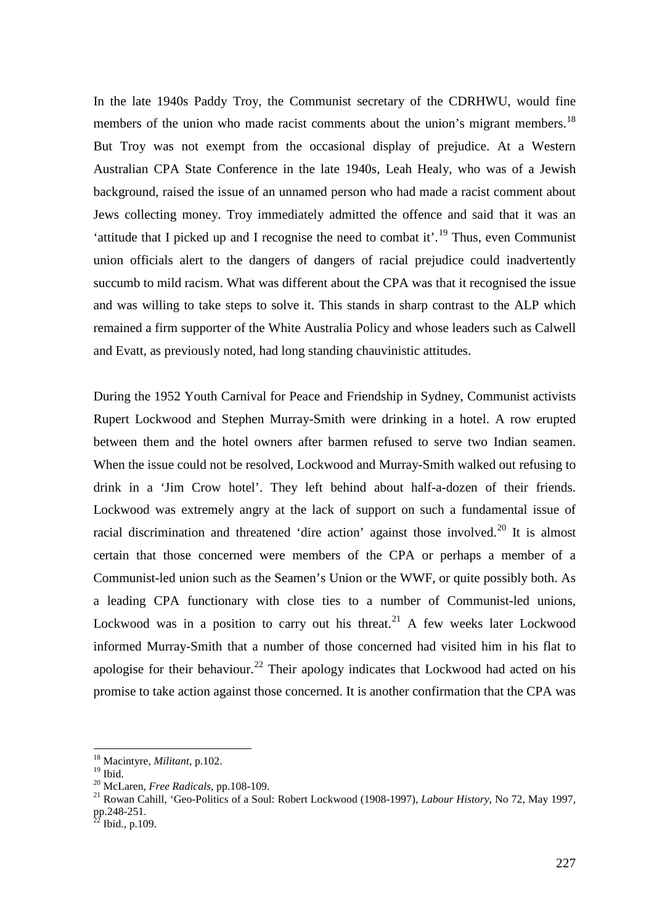In the late 1940s Paddy Troy, the Communist secretary of the CDRHWU, would fine members of the union who made racist comments about the union's migrant members.<sup>[18](#page-6-0)</sup> But Troy was not exempt from the occasional display of prejudice. At a Western Australian CPA State Conference in the late 1940s, Leah Healy, who was of a Jewish background, raised the issue of an unnamed person who had made a racist comment about Jews collecting money. Troy immediately admitted the offence and said that it was an 'attitude that I picked up and I recognise the need to combat it'.[19](#page-6-1) Thus, even Communist union officials alert to the dangers of dangers of racial prejudice could inadvertently succumb to mild racism. What was different about the CPA was that it recognised the issue and was willing to take steps to solve it. This stands in sharp contrast to the ALP which remained a firm supporter of the White Australia Policy and whose leaders such as Calwell and Evatt, as previously noted, had long standing chauvinistic attitudes.

During the 1952 Youth Carnival for Peace and Friendship in Sydney, Communist activists Rupert Lockwood and Stephen Murray-Smith were drinking in a hotel. A row erupted between them and the hotel owners after barmen refused to serve two Indian seamen. When the issue could not be resolved, Lockwood and Murray-Smith walked out refusing to drink in a 'Jim Crow hotel'. They left behind about half-a-dozen of their friends. Lockwood was extremely angry at the lack of support on such a fundamental issue of racial discrimination and threatened 'dire action' against those involved.<sup>[20](#page-6-2)</sup> It is almost certain that those concerned were members of the CPA or perhaps a member of a Communist-led union such as the Seamen's Union or the WWF, or quite possibly both. As a leading CPA functionary with close ties to a number of Communist-led unions, Lockwood was in a position to carry out his threat.<sup>[21](#page-6-3)</sup> A few weeks later Lockwood informed Murray-Smith that a number of those concerned had visited him in his flat to apologise for their behaviour.<sup>[22](#page-6-4)</sup> Their apology indicates that Lockwood had acted on his promise to take action against those concerned. It is another confirmation that the CPA was

<span id="page-6-0"></span> <sup>18</sup> Macintyre, *Militant*, p.102.

<span id="page-6-3"></span><span id="page-6-2"></span><span id="page-6-1"></span><sup>&</sup>lt;sup>20</sup> McLaren, *Free Radicals*, pp.108-109.<br><sup>21</sup> Rowan Cahill, 'Geo-Politics of a Soul: Robert Lockwood (1908-1997), *Labour History*, No 72, May 1997, pp.248-251.<br> $^{22}$  Ibid., p.109.

<span id="page-6-4"></span>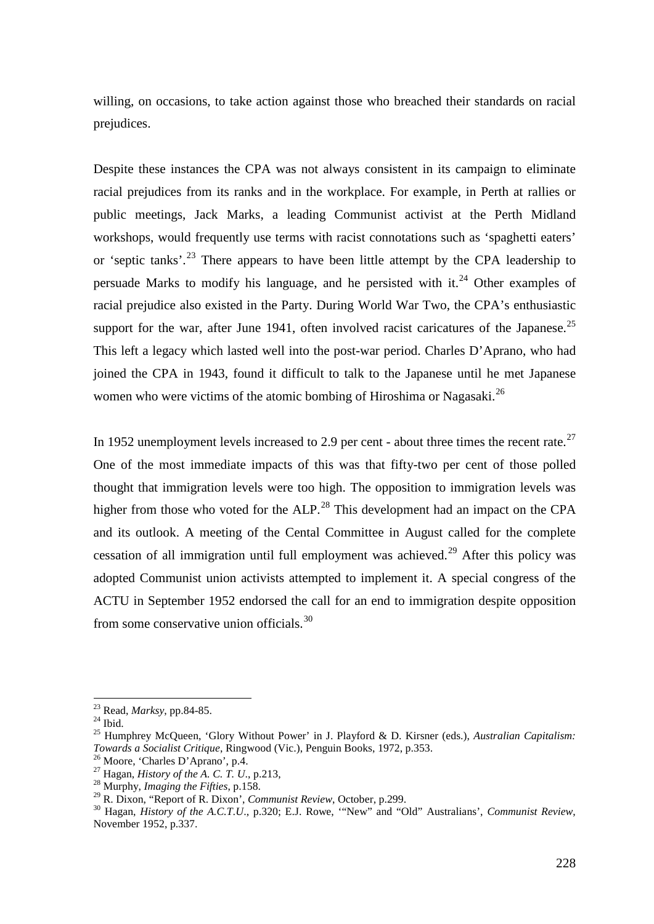willing, on occasions, to take action against those who breached their standards on racial prejudices.

Despite these instances the CPA was not always consistent in its campaign to eliminate racial prejudices from its ranks and in the workplace. For example, in Perth at rallies or public meetings, Jack Marks, a leading Communist activist at the Perth Midland workshops, would frequently use terms with racist connotations such as 'spaghetti eaters' or 'septic tanks'.<sup>[23](#page-7-0)</sup> There appears to have been little attempt by the CPA leadership to persuade Marks to modify his language, and he persisted with it.<sup>[24](#page-7-1)</sup> Other examples of racial prejudice also existed in the Party. During World War Two, the CPA's enthusiastic support for the war, after June 1941, often involved racist caricatures of the Japanese.<sup>[25](#page-7-2)</sup> This left a legacy which lasted well into the post-war period. Charles D'Aprano, who had joined the CPA in 1943, found it difficult to talk to the Japanese until he met Japanese women who were victims of the atomic bombing of Hiroshima or Nagasaki.<sup>26</sup>

In 1952 unemployment levels increased to 2.9 per cent - about three times the recent rate.<sup>[27](#page-7-4)</sup> One of the most immediate impacts of this was that fifty-two per cent of those polled thought that immigration levels were too high. The opposition to immigration levels was higher from those who voted for the ALP.<sup>[28](#page-7-5)</sup> This development had an impact on the CPA and its outlook. A meeting of the Cental Committee in August called for the complete cessation of all immigration until full employment was achieved.<sup>[29](#page-7-6)</sup> After this policy was adopted Communist union activists attempted to implement it. A special congress of the ACTU in September 1952 endorsed the call for an end to immigration despite opposition from some conservative union officials.[30](#page-7-7)

<span id="page-7-2"></span>

<span id="page-7-1"></span><span id="page-7-0"></span><sup>&</sup>lt;sup>23</sup> Read, *Marksy*, pp.84-85.<br><sup>24</sup> Ibid. 25 Humphrey McQueen, 'Glory Without Power' in J. Playford & D. Kirsner (eds.), *Australian Capitalism: Towards a Socialist Critique*, Ringwood (Vic.), Penguin Books, 1972, p.353.<br><sup>26</sup> Moore, 'Charles D'Aprano', p.4.<br><sup>27</sup> Hagan, *History of the A. C. T. U.*, p.213,<br><sup>28</sup> Murphy, *Imaging the Fifties*, p.158.<br><sup>29</sup> R. Dixon, '

<span id="page-7-3"></span>

<span id="page-7-4"></span>

<span id="page-7-5"></span>

<span id="page-7-7"></span><span id="page-7-6"></span><sup>&</sup>lt;sup>30</sup> Hagan, *History of the A.C.T.U.*, p.320; E.J. Rowe, "New" and "Old" Australians', *Communist Review*, November 1952, p.337.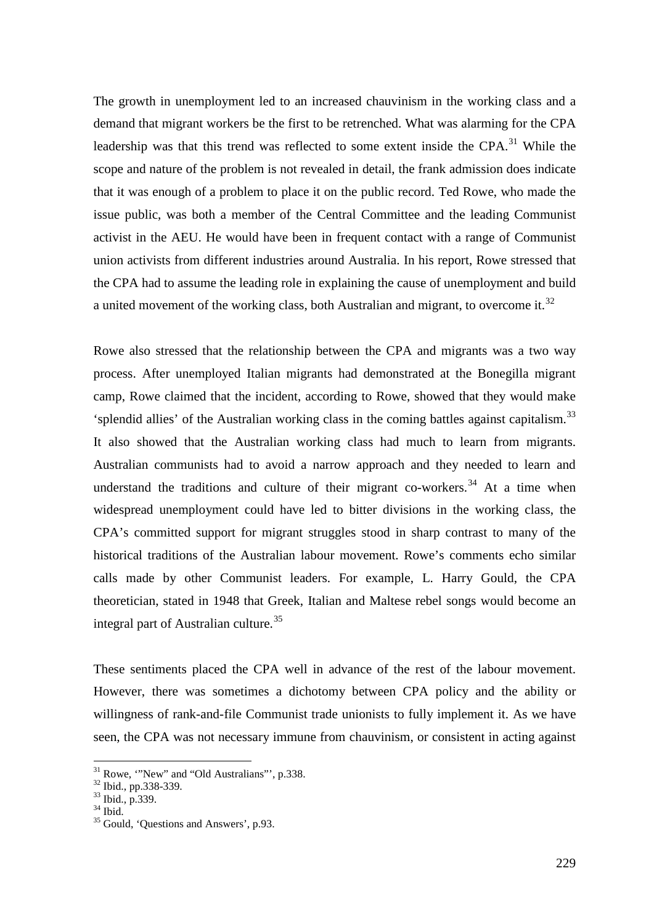The growth in unemployment led to an increased chauvinism in the working class and a demand that migrant workers be the first to be retrenched. What was alarming for the CPA leadership was that this trend was reflected to some extent inside the CPA.<sup>[31](#page-8-0)</sup> While the scope and nature of the problem is not revealed in detail, the frank admission does indicate that it was enough of a problem to place it on the public record. Ted Rowe, who made the issue public, was both a member of the Central Committee and the leading Communist activist in the AEU. He would have been in frequent contact with a range of Communist union activists from different industries around Australia. In his report, Rowe stressed that the CPA had to assume the leading role in explaining the cause of unemployment and build a united movement of the working class, both Australian and migrant, to overcome it.<sup>32</sup>

Rowe also stressed that the relationship between the CPA and migrants was a two way process. After unemployed Italian migrants had demonstrated at the Bonegilla migrant camp, Rowe claimed that the incident, according to Rowe, showed that they would make 'splendid allies' of the Australian working class in the coming battles against capitalism.[33](#page-8-2) It also showed that the Australian working class had much to learn from migrants. Australian communists had to avoid a narrow approach and they needed to learn and understand the traditions and culture of their migrant co-workers.<sup>[34](#page-8-3)</sup> At a time when widespread unemployment could have led to bitter divisions in the working class, the CPA's committed support for migrant struggles stood in sharp contrast to many of the historical traditions of the Australian labour movement. Rowe's comments echo similar calls made by other Communist leaders. For example, L. Harry Gould, the CPA theoretician, stated in 1948 that Greek, Italian and Maltese rebel songs would become an integral part of Australian culture.<sup>[35](#page-8-4)</sup>

These sentiments placed the CPA well in advance of the rest of the labour movement. However, there was sometimes a dichotomy between CPA policy and the ability or willingness of rank-and-file Communist trade unionists to fully implement it. As we have seen, the CPA was not necessary immune from chauvinism, or consistent in acting against

<span id="page-8-1"></span><span id="page-8-0"></span><sup>&</sup>lt;sup>31</sup> Rowe, '"New" and "Old Australians"', p.338.<br><sup>32</sup> Ibid., pp.338-339.<br><sup>33</sup> Ibid., p.339.<br><sup>34</sup> Ibid. <sup>35</sup> Gould, 'Questions and Answers', p.93.

<span id="page-8-4"></span><span id="page-8-3"></span><span id="page-8-2"></span>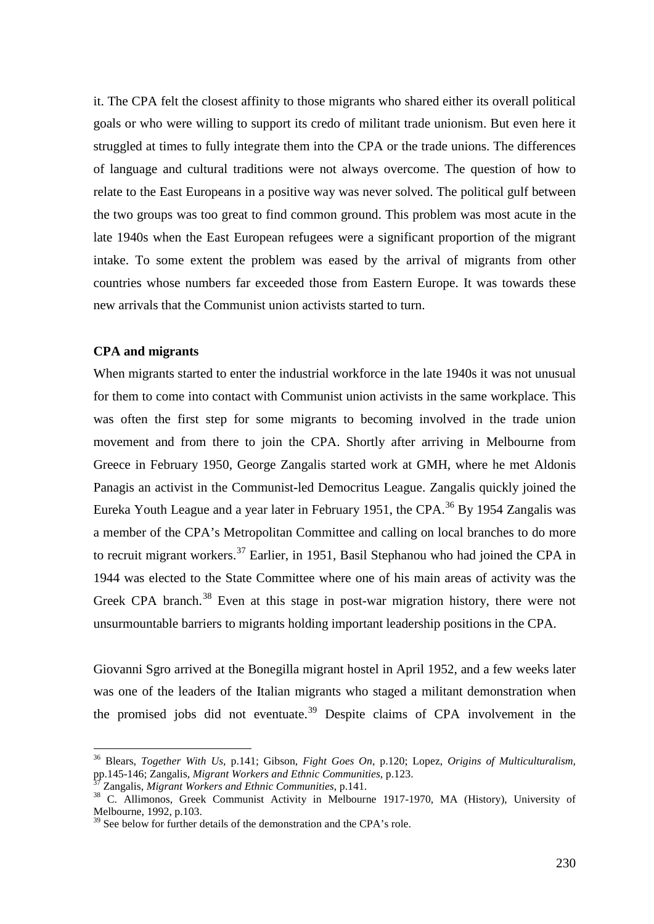it. The CPA felt the closest affinity to those migrants who shared either its overall political goals or who were willing to support its credo of militant trade unionism. But even here it struggled at times to fully integrate them into the CPA or the trade unions. The differences of language and cultural traditions were not always overcome. The question of how to relate to the East Europeans in a positive way was never solved. The political gulf between the two groups was too great to find common ground. This problem was most acute in the late 1940s when the East European refugees were a significant proportion of the migrant intake. To some extent the problem was eased by the arrival of migrants from other countries whose numbers far exceeded those from Eastern Europe. It was towards these new arrivals that the Communist union activists started to turn.

#### **CPA and migrants**

When migrants started to enter the industrial workforce in the late 1940s it was not unusual for them to come into contact with Communist union activists in the same workplace. This was often the first step for some migrants to becoming involved in the trade union movement and from there to join the CPA. Shortly after arriving in Melbourne from Greece in February 1950, George Zangalis started work at GMH, where he met Aldonis Panagis an activist in the Communist-led Democritus League. Zangalis quickly joined the Eureka Youth League and a year later in February 1951, the CPA.<sup>[36](#page-9-0)</sup> By 1954 Zangalis was a member of the CPA's Metropolitan Committee and calling on local branches to do more to recruit migrant workers.<sup>[37](#page-9-1)</sup> Earlier, in 1951, Basil Stephanou who had joined the CPA in 1944 was elected to the State Committee where one of his main areas of activity was the Greek CPA branch.<sup>[38](#page-9-2)</sup> Even at this stage in post-war migration history, there were not unsurmountable barriers to migrants holding important leadership positions in the CPA.

Giovanni Sgro arrived at the Bonegilla migrant hostel in April 1952, and a few weeks later was one of the leaders of the Italian migrants who staged a militant demonstration when the promised jobs did not eventuate.<sup>[39](#page-9-3)</sup> Despite claims of CPA involvement in the

<span id="page-9-0"></span> <sup>36</sup> Blears, *Together With Us*, p.141; Gibson, *Fight Goes On*, p.120; Lopez, *Origins of Multiculturalism*, pp.145-146; Zangalis, *Migrant Workers and Ethnic Communities*, p.123.<br><sup>37</sup> Zangalis, *Migrant Workers and Ethnic Communities*, p.141.

<span id="page-9-2"></span><span id="page-9-1"></span><sup>37</sup> Zangalis, *Migrant Workers and Ethnic Communities*, p.141. <sup>38</sup> C. Allimonos, Greek Communist Activity in Melbourne 1917-1970, MA (History), University of Melbourne, 1992, p.103.

<span id="page-9-3"></span><sup>&</sup>lt;sup>39</sup> See below for further details of the demonstration and the CPA's role.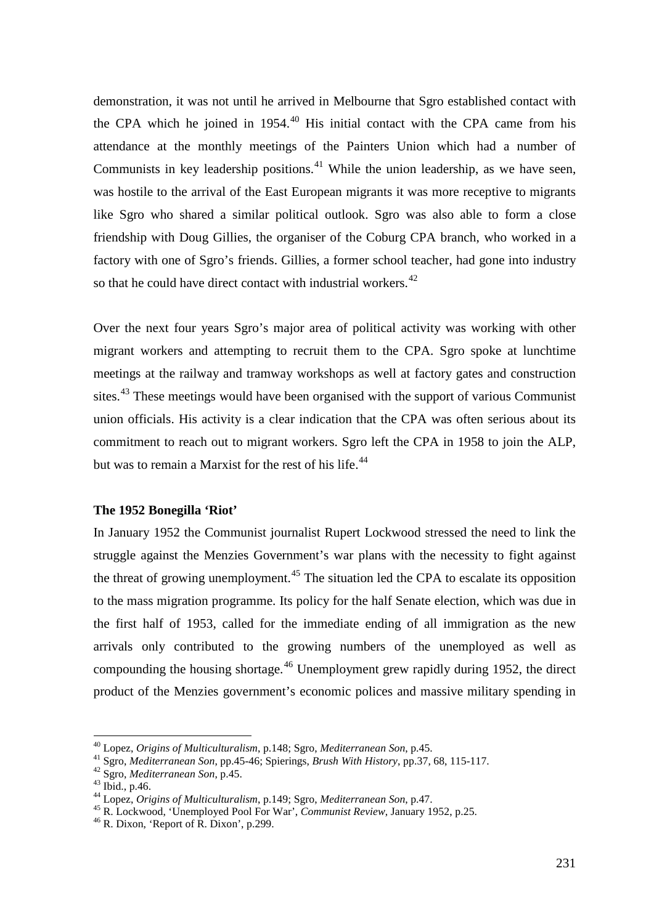demonstration, it was not until he arrived in Melbourne that Sgro established contact with the CPA which he joined in  $1954<sup>40</sup>$  $1954<sup>40</sup>$  $1954<sup>40</sup>$  His initial contact with the CPA came from his attendance at the monthly meetings of the Painters Union which had a number of Communists in key leadership positions.<sup>[41](#page-10-1)</sup> While the union leadership, as we have seen, was hostile to the arrival of the East European migrants it was more receptive to migrants like Sgro who shared a similar political outlook. Sgro was also able to form a close friendship with Doug Gillies, the organiser of the Coburg CPA branch, who worked in a factory with one of Sgro's friends. Gillies, a former school teacher, had gone into industry so that he could have direct contact with industrial workers. $42$ 

Over the next four years Sgro's major area of political activity was working with other migrant workers and attempting to recruit them to the CPA. Sgro spoke at lunchtime meetings at the railway and tramway workshops as well at factory gates and construction sites.<sup>[43](#page-10-3)</sup> These meetings would have been organised with the support of various Communist union officials. His activity is a clear indication that the CPA was often serious about its commitment to reach out to migrant workers. Sgro left the CPA in 1958 to join the ALP, but was to remain a Marxist for the rest of his life.<sup>[44](#page-10-4)</sup>

# **The 1952 Bonegilla 'Riot'**

In January 1952 the Communist journalist Rupert Lockwood stressed the need to link the struggle against the Menzies Government's war plans with the necessity to fight against the threat of growing unemployment.<sup>[45](#page-10-5)</sup> The situation led the CPA to escalate its opposition to the mass migration programme. Its policy for the half Senate election, which was due in the first half of 1953, called for the immediate ending of all immigration as the new arrivals only contributed to the growing numbers of the unemployed as well as compounding the housing shortage.<sup>[46](#page-10-6)</sup> Unemployment grew rapidly during 1952, the direct product of the Menzies government's economic polices and massive military spending in

<span id="page-10-0"></span> <sup>40</sup> Lopez, *Origins of Multiculturalism*, p.148; Sgro, *Mediterranean Son*, p.45.

<span id="page-10-5"></span><span id="page-10-4"></span>

<span id="page-10-3"></span><span id="page-10-2"></span><span id="page-10-1"></span><sup>&</sup>lt;sup>42</sup> Sgro, *Mediterranean Son*, p.45.<br>
<sup>43</sup> Ibid., p.46.<br>
<sup>44</sup> Lopez, *Origins of Multiculturalism*, p.149; Sgro, *Mediterranean Son*, p.47.<br>
<sup>45</sup> R. Lockwood, 'Unemployed Pool For War', *Communist Review*, January 1952,

<span id="page-10-6"></span>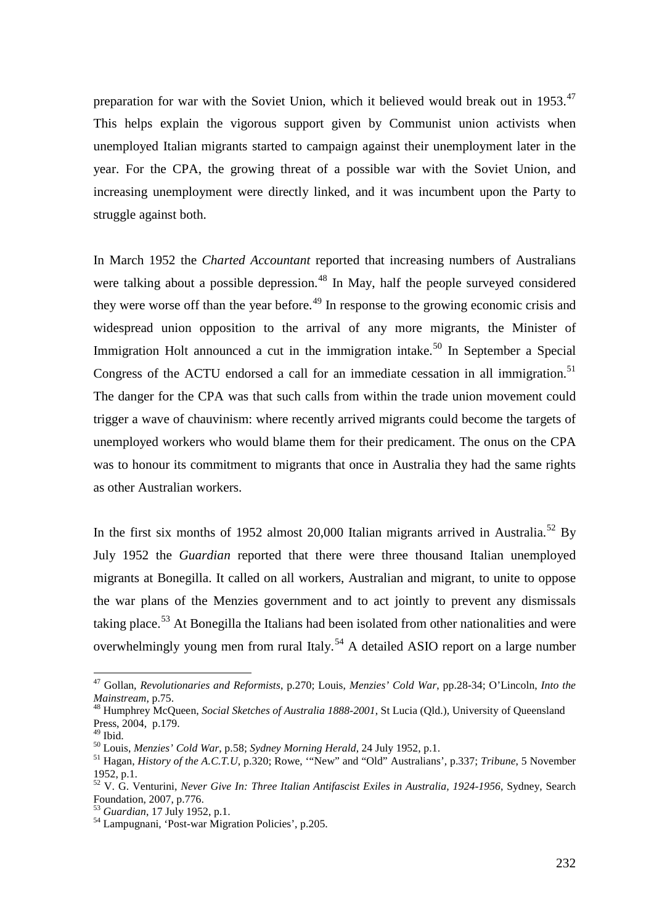preparation for war with the Soviet Union, which it believed would break out in 1953.<sup>[47](#page-11-0)</sup> This helps explain the vigorous support given by Communist union activists when unemployed Italian migrants started to campaign against their unemployment later in the year. For the CPA, the growing threat of a possible war with the Soviet Union, and increasing unemployment were directly linked, and it was incumbent upon the Party to struggle against both.

In March 1952 the *Charted Accountant* reported that increasing numbers of Australians were talking about a possible depression.<sup>[48](#page-11-1)</sup> In May, half the people surveyed considered they were worse off than the year before.<sup>[49](#page-11-2)</sup> In response to the growing economic crisis and widespread union opposition to the arrival of any more migrants, the Minister of Immigration Holt announced a cut in the immigration intake.<sup>[50](#page-11-3)</sup> In September a Special Congress of the ACTU endorsed a call for an immediate cessation in all immigration.<sup>[51](#page-11-4)</sup> The danger for the CPA was that such calls from within the trade union movement could trigger a wave of chauvinism: where recently arrived migrants could become the targets of unemployed workers who would blame them for their predicament. The onus on the CPA was to honour its commitment to migrants that once in Australia they had the same rights as other Australian workers.

In the first six months of 19[52](#page-11-5) almost 20,000 Italian migrants arrived in Australia.<sup>52</sup> By July 1952 the *Guardian* reported that there were three thousand Italian unemployed migrants at Bonegilla. It called on all workers, Australian and migrant, to unite to oppose the war plans of the Menzies government and to act jointly to prevent any dismissals taking place.<sup>[53](#page-11-6)</sup> At Bonegilla the Italians had been isolated from other nationalities and were overwhelmingly young men from rural Italy.<sup>[54](#page-11-7)</sup> A detailed ASIO report on a large number

<span id="page-11-0"></span> <sup>47</sup> Gollan, *Revolutionaries and Reformists*, p.270; Louis, *Menzies' Cold War*, pp.28-34; O'Lincoln, *Into the Mainstream*, p.75.

<span id="page-11-1"></span><sup>48</sup> Humphrey McQueen, *Social Sketches of Australia 1888-2001*, St Lucia (Qld.), University of Queensland Press, 2004, p.179.<br><sup>49</sup> Ibid.

<span id="page-11-4"></span><span id="page-11-3"></span><span id="page-11-2"></span><sup>49</sup> Ibid. <sup>50</sup> Louis, *Menzies' Cold War*, p.58; *Sydney Morning Herald*, 24 July 1952, p.1. <sup>51</sup> Hagan, *History of the A.C.T.U*, p.320; Rowe, '"New" and "Old" Australians', p.337; *Tribune*, 5 November 1952, p.1.

<span id="page-11-5"></span><sup>52</sup> V. G. Venturini, *Never Give In: Three Italian Antifascist Exiles in Australia, 1924-1956*, Sydney, Search Foundation, 2007, p.776.<br><sup>53</sup> Guardian, 17 July 1952, p.1.

<span id="page-11-7"></span><span id="page-11-6"></span><sup>&</sup>lt;sup>54</sup> Lampugnani, 'Post-war Migration Policies', p.205.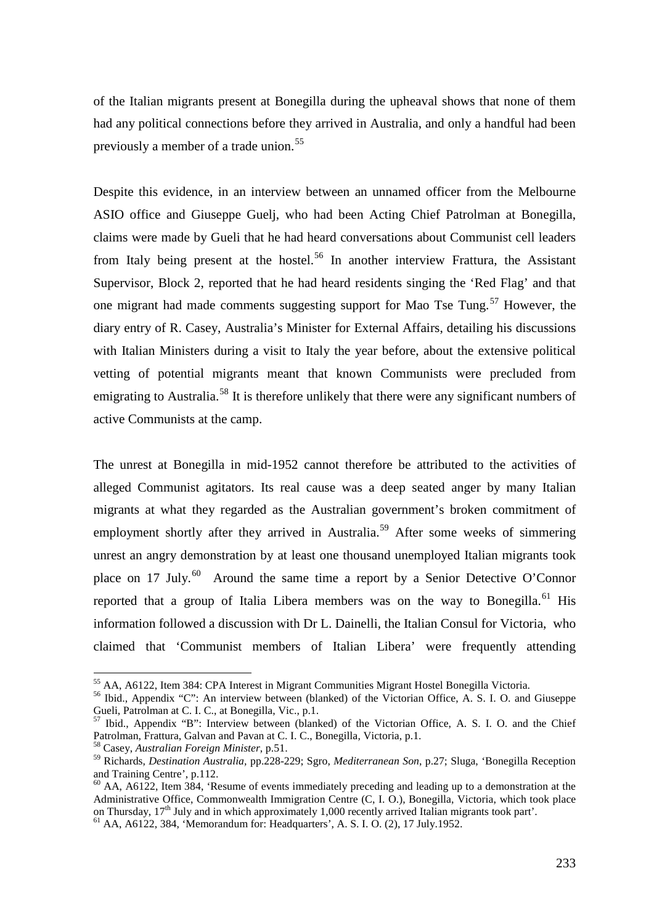of the Italian migrants present at Bonegilla during the upheaval shows that none of them had any political connections before they arrived in Australia, and only a handful had been previously a member of a trade union.<sup>[55](#page-12-0)</sup>

Despite this evidence, in an interview between an unnamed officer from the Melbourne ASIO office and Giuseppe Guelj, who had been Acting Chief Patrolman at Bonegilla, claims were made by Gueli that he had heard conversations about Communist cell leaders from Italy being present at the hostel.<sup>[56](#page-12-1)</sup> In another interview Frattura, the Assistant Supervisor, Block 2, reported that he had heard residents singing the 'Red Flag' and that one migrant had made comments suggesting support for Mao Tse Tung.<sup>[57](#page-12-2)</sup> However, the diary entry of R. Casey, Australia's Minister for External Affairs, detailing his discussions with Italian Ministers during a visit to Italy the year before, about the extensive political vetting of potential migrants meant that known Communists were precluded from emigrating to Australia.<sup>[58](#page-12-3)</sup> It is therefore unlikely that there were any significant numbers of active Communists at the camp.

The unrest at Bonegilla in mid-1952 cannot therefore be attributed to the activities of alleged Communist agitators. Its real cause was a deep seated anger by many Italian migrants at what they regarded as the Australian government's broken commitment of employment shortly after they arrived in Australia.<sup>[59](#page-12-4)</sup> After some weeks of simmering unrest an angry demonstration by at least one thousand unemployed Italian migrants took place on 17 July.<sup>60</sup> Around the same time a report by a Senior Detective O'Connor reported that a group of Italia Libera members was on the way to Bonegilla.<sup>[61](#page-12-6)</sup> His information followed a discussion with Dr L. Dainelli, the Italian Consul for Victoria, who claimed that 'Communist members of Italian Libera' were frequently attending

 <sup>55</sup> AA, A6122, Item 384: CPA Interest in Migrant Communities Migrant Hostel Bonegilla Victoria.

<span id="page-12-1"></span><span id="page-12-0"></span><sup>56</sup> Ibid., Appendix "C": An interview between (blanked) of the Victorian Office, A. S. I. O. and Giuseppe Gueli, Patrolman at C. I. C., at Bonegilla, Vic., p.1.

<span id="page-12-2"></span><sup>57</sup> Ibid., Appendix "B": Interview between (blanked) of the Victorian Office, A. S. I. O. and the Chief Patrolman, Frattura, Galvan and Pavan at C. I. C., Bonegilla, Victoria, p.1.

<sup>58</sup> Casey, *Australian Foreign Minister*, p.51.

<span id="page-12-4"></span><span id="page-12-3"></span><sup>59</sup> Richards, *Destination Australia,* pp.228-229; Sgro, *Mediterranean Son*, p.27; Sluga, 'Bonegilla Reception and Training Centre', p.112.

<span id="page-12-5"></span> $60$  AA, A6122, Item 384, 'Resume of events immediately preceding and leading up to a demonstration at the Administrative Office, Commonwealth Immigration Centre (C, I. O.), Bonegilla, Victoria, which took place on Thursday,  $17^{th}$  July and in which approximately 1,000 recently arrived Italian migrants took part'.<br><sup>61</sup> AA, A6122, 384, 'Memorandum for: Headquarters', A. S. I. O. (2), 17 July.1952.

<span id="page-12-6"></span>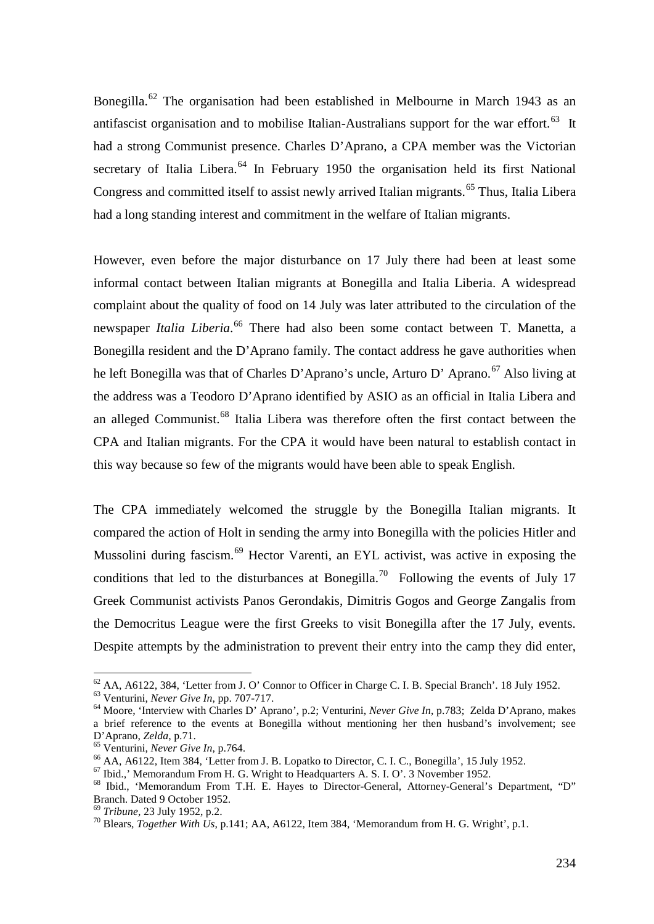Bonegilla.<sup>[62](#page-13-0)</sup> The organisation had been established in Melbourne in March 1943 as an antifascist organisation and to mobilise Italian-Australians support for the war effort.<sup>63</sup> It had a strong Communist presence. Charles D'Aprano, a CPA member was the Victorian secretary of Italia Libera.<sup>[64](#page-13-2)</sup> In February 1950 the organisation held its first National Congress and committed itself to assist newly arrived Italian migrants.<sup>[65](#page-13-3)</sup> Thus, Italia Libera had a long standing interest and commitment in the welfare of Italian migrants.

However, even before the major disturbance on 17 July there had been at least some informal contact between Italian migrants at Bonegilla and Italia Liberia. A widespread complaint about the quality of food on 14 July was later attributed to the circulation of the newspaper *Italia Liberia*.<sup>[66](#page-13-4)</sup> There had also been some contact between T. Manetta, a Bonegilla resident and the D'Aprano family. The contact address he gave authorities when he left Bonegilla was that of Charles D'Aprano's uncle, Arturo D' Aprano.<sup>[67](#page-13-5)</sup> Also living at the address was a Teodoro D'Aprano identified by ASIO as an official in Italia Libera and an alleged Communist.<sup>[68](#page-13-6)</sup> Italia Libera was therefore often the first contact between the CPA and Italian migrants. For the CPA it would have been natural to establish contact in this way because so few of the migrants would have been able to speak English.

The CPA immediately welcomed the struggle by the Bonegilla Italian migrants. It compared the action of Holt in sending the army into Bonegilla with the policies Hitler and Mussolini during fascism.<sup>[69](#page-13-7)</sup> Hector Varenti, an EYL activist, was active in exposing the conditions that led to the disturbances at Bonegilla.<sup>[70](#page-13-8)</sup> Following the events of July 17 Greek Communist activists Panos Gerondakis, Dimitris Gogos and George Zangalis from the Democritus League were the first Greeks to visit Bonegilla after the 17 July, events. Despite attempts by the administration to prevent their entry into the camp they did enter,

<span id="page-13-0"></span><sup>&</sup>lt;sup>62</sup> AA, A6122, 384, 'Letter from J. O' Connor to Officer in Charge C. I. B. Special Branch'. 18 July 1952.<br><sup>63</sup> Venturini, *Never Give In*, pp. 707-717.

<span id="page-13-2"></span><span id="page-13-1"></span><sup>&</sup>lt;sup>64</sup> Moore, 'Interview with Charles D' Aprano', p.2; Venturini, *Never Give In*, p.783; Zelda D'Aprano, makes a brief reference to the events at Bonegilla without mentioning her then husband's involvement; see D'Aprano, *Zelda*, p.71.<br><sup>65</sup> Venturini, *Never Give In*, p.764.<br><sup>66</sup> AA, A6122, Item 384, 'Letter from J. B. Lopatko to Director, C. I. C., Bonegilla', 15 July 1952.<br><sup>67</sup> Ibid., 'Memorandum From H. G. Wright to Headquarte

<span id="page-13-3"></span>

<span id="page-13-4"></span>

<span id="page-13-5"></span>

<span id="page-13-6"></span>Branch. Dated 9 October 1952.<br><sup>69</sup> Tribune, 23 July 1952, p.2.

<span id="page-13-8"></span><span id="page-13-7"></span><sup>&</sup>lt;sup>70</sup> Blears, *Together With Us*, p.141; AA, A6122, Item 384, 'Memorandum from H. G. Wright', p.1.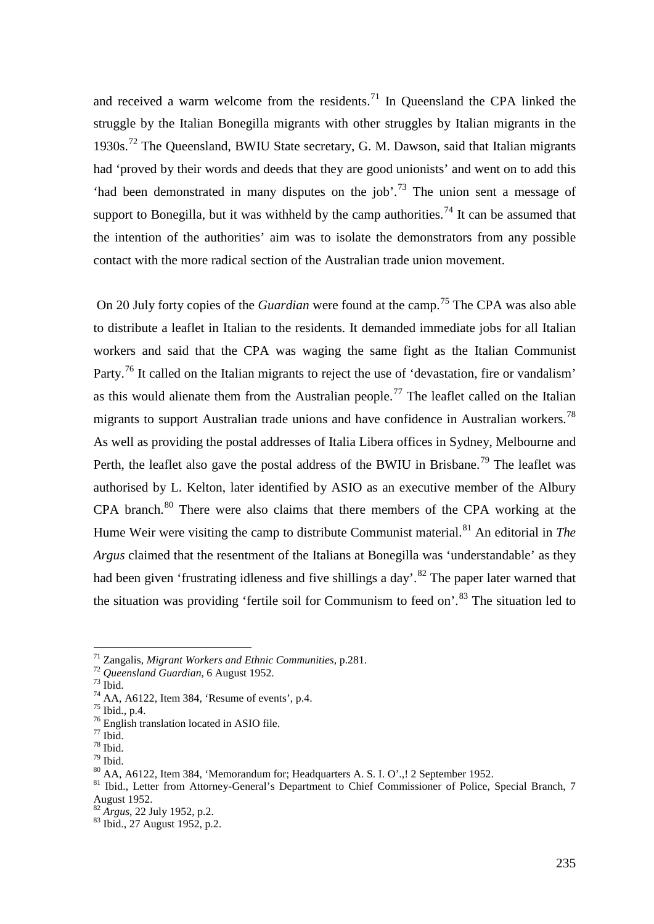and received a warm welcome from the residents.<sup>[71](#page-14-0)</sup> In Queensland the CPA linked the struggle by the Italian Bonegilla migrants with other struggles by Italian migrants in the 1930s.<sup>[72](#page-14-1)</sup> The Queensland, BWIU State secretary, G. M. Dawson, said that Italian migrants had 'proved by their words and deeds that they are good unionists' and went on to add this 'had been demonstrated in many disputes on the job'.[73](#page-14-2) The union sent a message of support to Bonegilla, but it was withheld by the camp authorities.<sup>[74](#page-14-3)</sup> It can be assumed that the intention of the authorities' aim was to isolate the demonstrators from any possible contact with the more radical section of the Australian trade union movement.

On 20 July forty copies of the *Guardian* were found at the camp.<sup>[75](#page-14-4)</sup> The CPA was also able to distribute a leaflet in Italian to the residents. It demanded immediate jobs for all Italian workers and said that the CPA was waging the same fight as the Italian Communist Party.<sup>[76](#page-14-5)</sup> It called on the Italian migrants to reject the use of 'devastation, fire or vandalism' as this would alienate them from the Australian people.<sup>[77](#page-14-6)</sup> The leaflet called on the Italian migrants to support Australian trade unions and have confidence in Australian workers.<sup>[78](#page-14-7)</sup> As well as providing the postal addresses of Italia Libera offices in Sydney, Melbourne and Perth, the leaflet also gave the postal address of the BWIU in Brisbane.<sup>[79](#page-14-8)</sup> The leaflet was authorised by L. Kelton, later identified by ASIO as an executive member of the Albury CPA branch.<sup>[80](#page-14-9)</sup> There were also claims that there members of the CPA working at the Hume Weir were visiting the camp to distribute Communist material.<sup>[81](#page-14-10)</sup> An editorial in *The Argus* claimed that the resentment of the Italians at Bonegilla was 'understandable' as they had been given 'frustrating idleness and five shillings a day'.<sup>[82](#page-14-11)</sup> The paper later warned that the situation was providing 'fertile soil for Communism to feed on'.<sup>[83](#page-14-12)</sup> The situation led to

<span id="page-14-0"></span> <sup>71</sup> Zangalis, *Migrant Workers and Ethnic Communities*, p.281.

<span id="page-14-4"></span>

<span id="page-14-7"></span><span id="page-14-6"></span><span id="page-14-5"></span>

<span id="page-14-9"></span><span id="page-14-8"></span>

<span id="page-14-10"></span>

<span id="page-14-3"></span><span id="page-14-2"></span><span id="page-14-1"></span><sup>&</sup>lt;sup>73</sup> Ibid.<br>
<sup>74</sup> AA, A6122, Item 384, 'Resume of events', p.4.<br>
<sup>75</sup> Ibid., p.4.<br>
<sup>76</sup> English translation located in ASIO file.<br>
<sup>77</sup> Ibid.<br>
<sup>79</sup> Ibid.<br>
<sup>79</sup> Ibid.<br>
<sup>80</sup> AA, A6122, Item 384, 'Memorandum for; Headquarters August 1952.<br><sup>82</sup> Argus, 22 July 1952, p.2.

<span id="page-14-12"></span><span id="page-14-11"></span><sup>&</sup>lt;sup>83</sup> Ibid., 27 August 1952, p.2.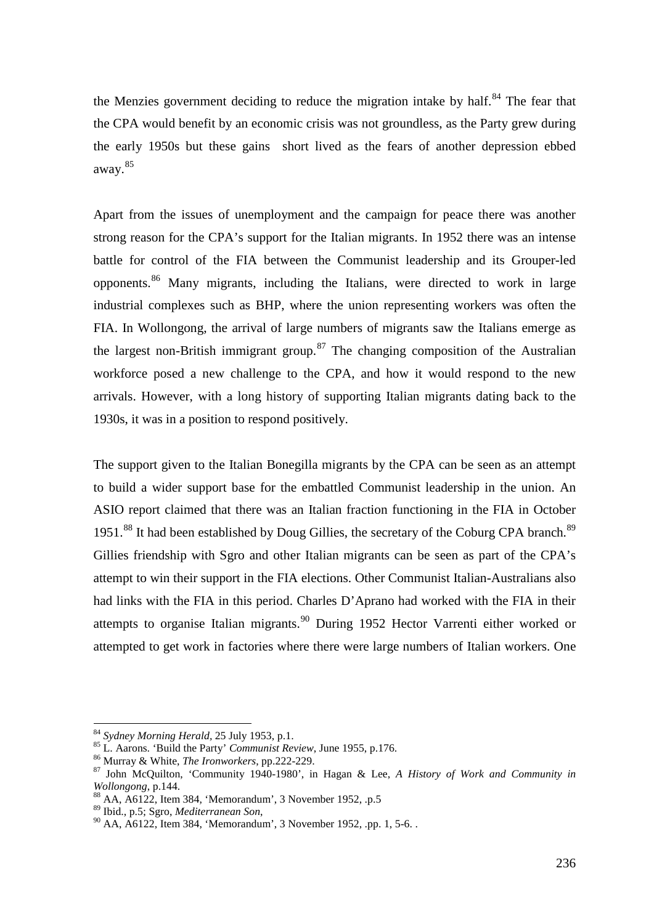the Menzies government deciding to reduce the migration intake by half.<sup>[84](#page-15-0)</sup> The fear that the CPA would benefit by an economic crisis was not groundless, as the Party grew during the early 1950s but these gains short lived as the fears of another depression ebbed away.[85](#page-15-1)

Apart from the issues of unemployment and the campaign for peace there was another strong reason for the CPA's support for the Italian migrants. In 1952 there was an intense battle for control of the FIA between the Communist leadership and its Grouper-led opponents.<sup>[86](#page-15-2)</sup> Many migrants, including the Italians, were directed to work in large industrial complexes such as BHP, where the union representing workers was often the FIA. In Wollongong, the arrival of large numbers of migrants saw the Italians emerge as the largest non-British immigrant group.<sup>[87](#page-15-3)</sup> The changing composition of the Australian workforce posed a new challenge to the CPA, and how it would respond to the new arrivals. However, with a long history of supporting Italian migrants dating back to the 1930s, it was in a position to respond positively.

The support given to the Italian Bonegilla migrants by the CPA can be seen as an attempt to build a wider support base for the embattled Communist leadership in the union. An ASIO report claimed that there was an Italian fraction functioning in the FIA in October 1951.<sup>[88](#page-15-4)</sup> It had been established by Doug Gillies, the secretary of the Coburg CPA branch.<sup>[89](#page-15-5)</sup> Gillies friendship with Sgro and other Italian migrants can be seen as part of the CPA's attempt to win their support in the FIA elections. Other Communist Italian-Australians also had links with the FIA in this period. Charles D'Aprano had worked with the FIA in their attempts to organise Italian migrants.<sup>[90](#page-15-6)</sup> During 1952 Hector Varrenti either worked or attempted to get work in factories where there were large numbers of Italian workers. One

<span id="page-15-1"></span><span id="page-15-0"></span><sup>&</sup>lt;sup>84</sup> *Sydney Morning Herald, 25 July 1953, p.1.*<br><sup>85</sup> L. Aarons. 'Build the Party' *Communist Review*, June 1955, p.176.

<span id="page-15-3"></span><span id="page-15-2"></span><sup>&</sup>lt;sup>86</sup> Murray & White, *The Ironworkers*, pp.222-229.<br><sup>87</sup> John McQuilton, 'Community 1940-1980', in Hagan & Lee, *A History of Work and Community in Wollongong*, p.144.<br><sup>88</sup> AA, A6122, Item 384, 'Memorandum', 3 November 1952, .p.5<br><sup>89</sup> Ibid., p.5; Sgro, *Mediterranean Son*,

<span id="page-15-4"></span>

<span id="page-15-6"></span><span id="page-15-5"></span><sup>&</sup>lt;sup>90</sup> AA, A6122, Item 384, 'Memorandum', 3 November 1952, .pp. 1, 5-6. .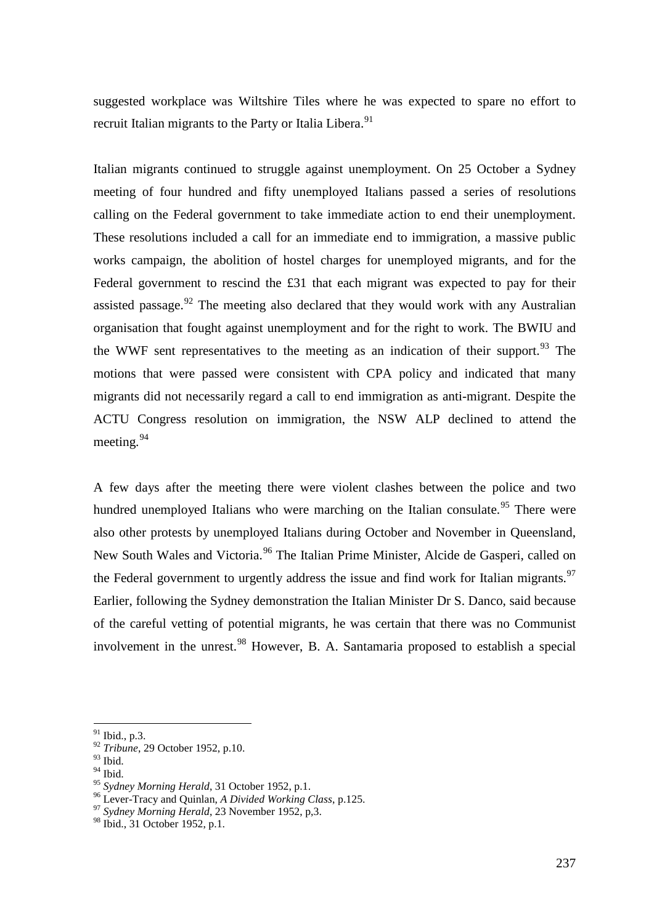suggested workplace was Wiltshire Tiles where he was expected to spare no effort to recruit Italian migrants to the Party or Italia Libera.<sup>[91](#page-16-0)</sup>

Italian migrants continued to struggle against unemployment. On 25 October a Sydney meeting of four hundred and fifty unemployed Italians passed a series of resolutions calling on the Federal government to take immediate action to end their unemployment. These resolutions included a call for an immediate end to immigration, a massive public works campaign, the abolition of hostel charges for unemployed migrants, and for the Federal government to rescind the £31 that each migrant was expected to pay for their assisted passage.<sup>[92](#page-16-1)</sup> The meeting also declared that they would work with any Australian organisation that fought against unemployment and for the right to work. The BWIU and the WWF sent representatives to the meeting as an indication of their support.<sup>[93](#page-16-2)</sup> The motions that were passed were consistent with CPA policy and indicated that many migrants did not necessarily regard a call to end immigration as anti-migrant. Despite the ACTU Congress resolution on immigration, the NSW ALP declined to attend the meeting. $94$ 

A few days after the meeting there were violent clashes between the police and two hundred unemployed Italians who were marching on the Italian consulate.<sup>[95](#page-16-4)</sup> There were also other protests by unemployed Italians during October and November in Queensland, New South Wales and Victoria.<sup>[96](#page-16-5)</sup> The Italian Prime Minister, Alcide de Gasperi, called on the Federal government to urgently address the issue and find work for Italian migrants.<sup>[97](#page-16-6)</sup> Earlier, following the Sydney demonstration the Italian Minister Dr S. Danco, said because of the careful vetting of potential migrants, he was certain that there was no Communist involvement in the unrest.<sup>[98](#page-16-7)</sup> However, B. A. Santamaria proposed to establish a special

<span id="page-16-0"></span> <sup>91</sup> Ibid., p.3.

<span id="page-16-1"></span><sup>92</sup> *Tribune*, 29 October 1952, p.10.

<span id="page-16-2"></span> $^{93}$  Ibid.

<span id="page-16-3"></span><sup>&</sup>lt;sup>94</sup> Ibid.<br><sup>95</sup> Sydney Morning Herald, 31 October 1952, p.1.

<span id="page-16-5"></span><span id="page-16-4"></span><sup>&</sup>lt;sup>96</sup> Lever-Tracy and Quinlan, *A Divided Working Class*, p.125. <sup>97</sup> *Sydney Morning Herald*, 23 November 1952, p,3.

<span id="page-16-7"></span><span id="page-16-6"></span><sup>98</sup> Ibid., 31 October 1952, p.1.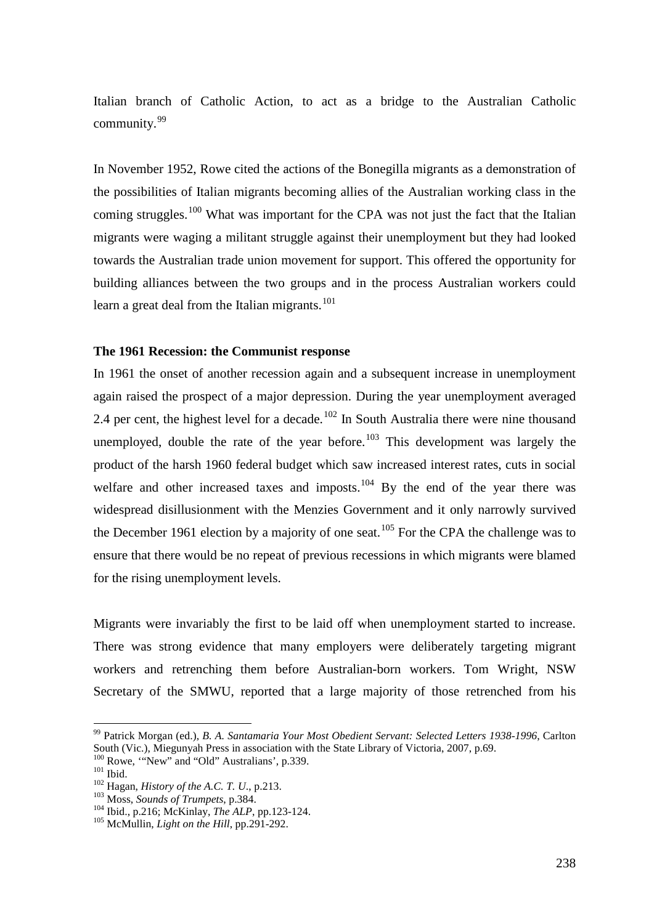Italian branch of Catholic Action, to act as a bridge to the Australian Catholic community.[99](#page-17-0)

In November 1952, Rowe cited the actions of the Bonegilla migrants as a demonstration of the possibilities of Italian migrants becoming allies of the Australian working class in the coming struggles.<sup>[100](#page-17-1)</sup> What was important for the CPA was not just the fact that the Italian migrants were waging a militant struggle against their unemployment but they had looked towards the Australian trade union movement for support. This offered the opportunity for building alliances between the two groups and in the process Australian workers could learn a great deal from the Italian migrants.<sup>[101](#page-17-2)</sup>

#### **The 1961 Recession: the Communist response**

In 1961 the onset of another recession again and a subsequent increase in unemployment again raised the prospect of a major depression. During the year unemployment averaged 2.4 per cent, the highest level for a decade.<sup>[102](#page-17-3)</sup> In South Australia there were nine thousand unemployed, double the rate of the year before. $103$  This development was largely the product of the harsh 1960 federal budget which saw increased interest rates, cuts in social welfare and other increased taxes and imposts.<sup>[104](#page-17-5)</sup> By the end of the year there was widespread disillusionment with the Menzies Government and it only narrowly survived the December 1961 election by a majority of one seat.<sup>[105](#page-17-6)</sup> For the CPA the challenge was to ensure that there would be no repeat of previous recessions in which migrants were blamed for the rising unemployment levels.

Migrants were invariably the first to be laid off when unemployment started to increase. There was strong evidence that many employers were deliberately targeting migrant workers and retrenching them before Australian-born workers. Tom Wright, NSW Secretary of the SMWU, reported that a large majority of those retrenched from his

<span id="page-17-0"></span> <sup>99</sup> Patrick Morgan (ed.), *B. A. Santamaria Your Most Obedient Servant: Selected Letters 1938-1996*, Carlton South (Vic.), Miegunyah Press in association with the State Library of Victoria, 2007, p.69.<br><sup>100</sup> Rowe, "New" and "Old" Australians', p.339.

<span id="page-17-3"></span>

<span id="page-17-5"></span><span id="page-17-4"></span>

<span id="page-17-2"></span><span id="page-17-1"></span><sup>&</sup>lt;sup>102</sup> Ibid.<br><sup>102</sup> Hagan, *History of the A.C. T. U.*, p.213.<br><sup>103</sup> Moss, *Sounds of Trumpets*, p.384.<br><sup>104</sup> Ibid., p.216; McKinlay, *The ALP*, pp.123-124.<br><sup>105</sup> McMullin, *Light on the Hill*, pp.291-292.

<span id="page-17-6"></span>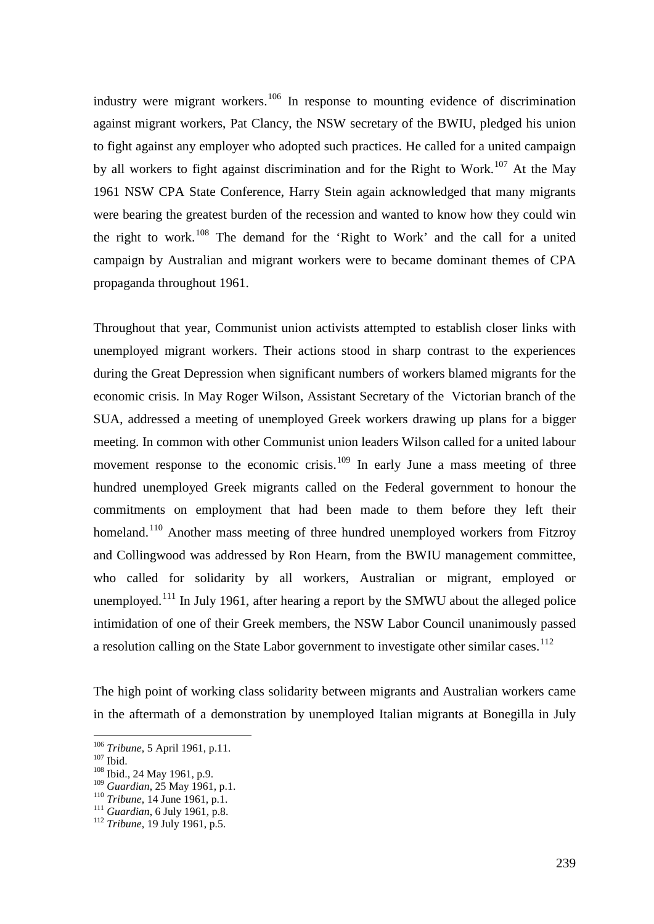industry were migrant workers.<sup>[106](#page-18-0)</sup> In response to mounting evidence of discrimination against migrant workers, Pat Clancy, the NSW secretary of the BWIU, pledged his union to fight against any employer who adopted such practices. He called for a united campaign by all workers to fight against discrimination and for the Right to Work.<sup>[107](#page-18-1)</sup> At the May 1961 NSW CPA State Conference, Harry Stein again acknowledged that many migrants were bearing the greatest burden of the recession and wanted to know how they could win the right to work.[108](#page-18-2) The demand for the 'Right to Work' and the call for a united campaign by Australian and migrant workers were to became dominant themes of CPA propaganda throughout 1961.

Throughout that year, Communist union activists attempted to establish closer links with unemployed migrant workers. Their actions stood in sharp contrast to the experiences during the Great Depression when significant numbers of workers blamed migrants for the economic crisis. In May Roger Wilson, Assistant Secretary of the Victorian branch of the SUA, addressed a meeting of unemployed Greek workers drawing up plans for a bigger meeting. In common with other Communist union leaders Wilson called for a united labour movement response to the economic crisis.<sup>[109](#page-18-3)</sup> In early June a mass meeting of three hundred unemployed Greek migrants called on the Federal government to honour the commitments on employment that had been made to them before they left their homeland.<sup>[110](#page-18-4)</sup> Another mass meeting of three hundred unemployed workers from Fitzroy and Collingwood was addressed by Ron Hearn, from the BWIU management committee, who called for solidarity by all workers, Australian or migrant, employed or unemployed.<sup>[111](#page-18-5)</sup> In July 1961, after hearing a report by the SMWU about the alleged police intimidation of one of their Greek members, the NSW Labor Council unanimously passed a resolution calling on the State Labor government to investigate other similar cases.<sup>[112](#page-18-6)</sup>

The high point of working class solidarity between migrants and Australian workers came in the aftermath of a demonstration by unemployed Italian migrants at Bonegilla in July

<span id="page-18-1"></span><span id="page-18-0"></span><sup>&</sup>lt;sup>106</sup> *Tribune*, 5 April 1961, p.11.<br><sup>107</sup> Ibid., 24 May 1961, p.9.<br><sup>109</sup> *Guardian*, 25 May 1961, p.1.

<span id="page-18-2"></span>

<span id="page-18-5"></span><span id="page-18-4"></span><span id="page-18-3"></span><sup>&</sup>lt;sup>110</sup> *Tribune*, 14 June 1961, p.1.<br><sup>111</sup> *Guardian*, 6 July 1961, p.8. <sup>112</sup> *Tribune*, 19 July 1961, p.5.

<span id="page-18-6"></span>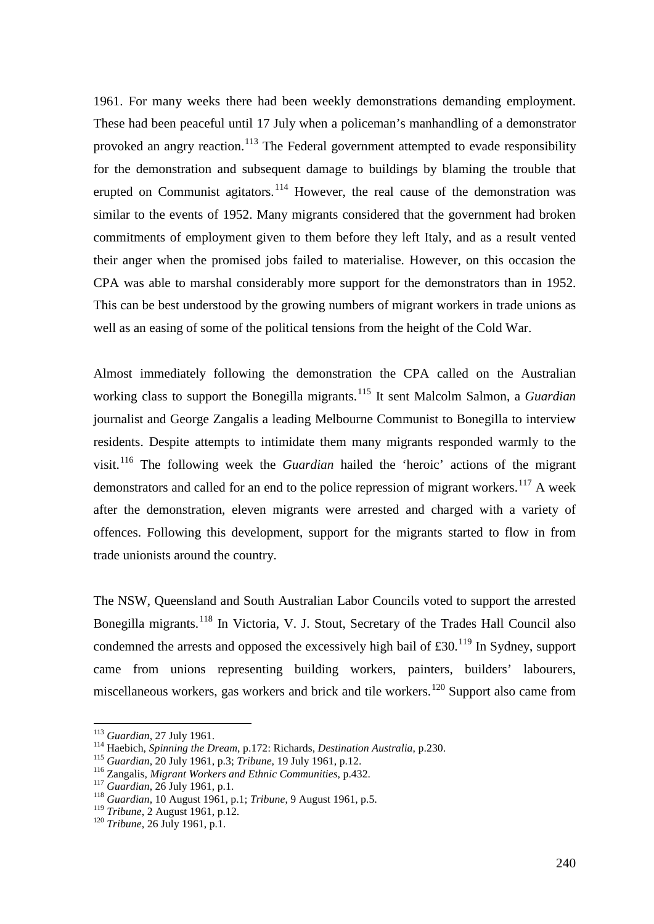1961. For many weeks there had been weekly demonstrations demanding employment. These had been peaceful until 17 July when a policeman's manhandling of a demonstrator provoked an angry reaction.<sup>[113](#page-19-0)</sup> The Federal government attempted to evade responsibility for the demonstration and subsequent damage to buildings by blaming the trouble that erupted on Communist agitators.<sup>[114](#page-19-1)</sup> However, the real cause of the demonstration was similar to the events of 1952. Many migrants considered that the government had broken commitments of employment given to them before they left Italy, and as a result vented their anger when the promised jobs failed to materialise. However, on this occasion the CPA was able to marshal considerably more support for the demonstrators than in 1952. This can be best understood by the growing numbers of migrant workers in trade unions as well as an easing of some of the political tensions from the height of the Cold War.

Almost immediately following the demonstration the CPA called on the Australian working class to support the Bonegilla migrants.<sup>[115](#page-19-2)</sup> It sent Malcolm Salmon, a *Guardian* journalist and George Zangalis a leading Melbourne Communist to Bonegilla to interview residents. Despite attempts to intimidate them many migrants responded warmly to the visit.[116](#page-19-3) The following week the *Guardian* hailed the 'heroic' actions of the migrant demonstrators and called for an end to the police repression of migrant workers.<sup>[117](#page-19-4)</sup> A week after the demonstration, eleven migrants were arrested and charged with a variety of offences. Following this development, support for the migrants started to flow in from trade unionists around the country.

The NSW, Queensland and South Australian Labor Councils voted to support the arrested Bonegilla migrants.<sup>[118](#page-19-5)</sup> In Victoria, V. J. Stout, Secretary of the Trades Hall Council also condemned the arrests and opposed the excessively high bail of  $\text{\pounds}30$ .<sup>[119](#page-19-6)</sup> In Sydney, support came from unions representing building workers, painters, builders' labourers, miscellaneous workers, gas workers and brick and tile workers.<sup>[120](#page-19-7)</sup> Support also came from

<span id="page-19-0"></span><sup>&</sup>lt;sup>113</sup> Guardian, 27 July 1961.<br><sup>114</sup> Haebich, *Spinning the Dream*, p.172: Richards, *Destination Australia*, p.230.

<span id="page-19-3"></span>

<span id="page-19-4"></span>

<span id="page-19-2"></span><span id="page-19-1"></span><sup>&</sup>lt;sup>115</sup> Guardian, 20 July 1961, p.3; *Tribune*, 19 July 1961, p.12.<br><sup>116</sup> Zangalis, *Migrant Workers and Ethnic Communities*, p.432.<br><sup>117</sup> Guardian, 26 July 1961, p.1.<br><sup>118</sup> Guardian, 10 August 1961, p.1; *Tribune*, 9 Augus

<span id="page-19-6"></span><span id="page-19-5"></span><sup>&</sup>lt;sup>119</sup> *Tribune*, 2 August 1961, p.12.<br><sup>120</sup> *Tribune*, 26 July 1961, p.1.

<span id="page-19-7"></span>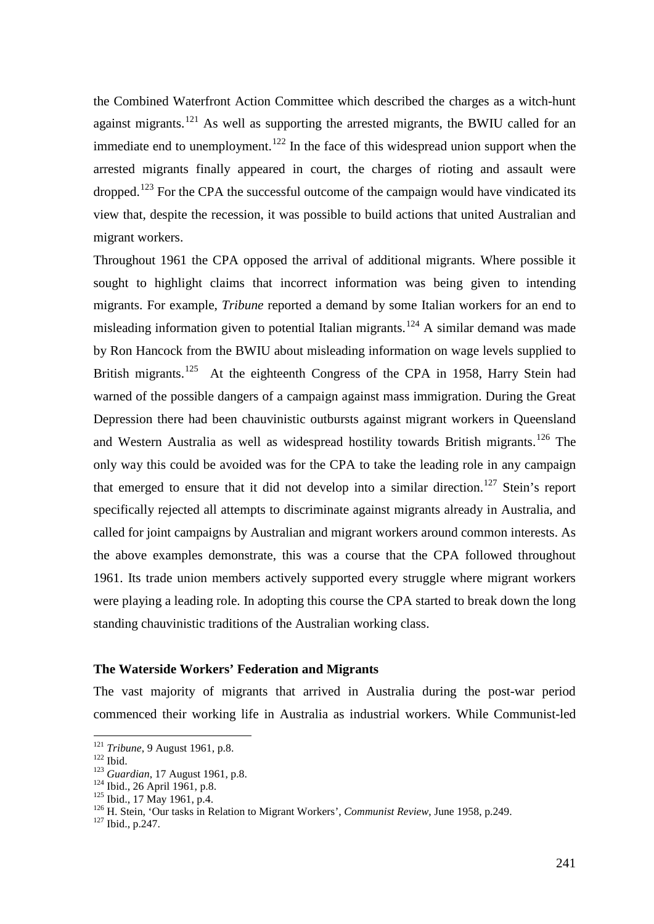the Combined Waterfront Action Committee which described the charges as a witch-hunt against migrants.<sup>[121](#page-20-0)</sup> As well as supporting the arrested migrants, the BWIU called for an immediate end to unemployment.<sup>[122](#page-20-1)</sup> In the face of this widespread union support when the arrested migrants finally appeared in court, the charges of rioting and assault were dropped.<sup>[123](#page-20-2)</sup> For the CPA the successful outcome of the campaign would have vindicated its view that, despite the recession, it was possible to build actions that united Australian and migrant workers.

Throughout 1961 the CPA opposed the arrival of additional migrants. Where possible it sought to highlight claims that incorrect information was being given to intending migrants. For example, *Tribune* reported a demand by some Italian workers for an end to misleading information given to potential Italian migrants.<sup>[124](#page-20-3)</sup> A similar demand was made by Ron Hancock from the BWIU about misleading information on wage levels supplied to British migrants.<sup>125</sup> At the eighteenth Congress of the CPA in 1958, Harry Stein had warned of the possible dangers of a campaign against mass immigration. During the Great Depression there had been chauvinistic outbursts against migrant workers in Queensland and Western Australia as well as widespread hostility towards British migrants.<sup>[126](#page-20-5)</sup> The only way this could be avoided was for the CPA to take the leading role in any campaign that emerged to ensure that it did not develop into a similar direction.<sup>[127](#page-20-6)</sup> Stein's report specifically rejected all attempts to discriminate against migrants already in Australia, and called for joint campaigns by Australian and migrant workers around common interests. As the above examples demonstrate, this was a course that the CPA followed throughout 1961. Its trade union members actively supported every struggle where migrant workers were playing a leading role. In adopting this course the CPA started to break down the long standing chauvinistic traditions of the Australian working class.

# **The Waterside Workers' Federation and Migrants**

The vast majority of migrants that arrived in Australia during the post-war period commenced their working life in Australia as industrial workers. While Communist-led

<span id="page-20-3"></span><span id="page-20-2"></span>

<span id="page-20-5"></span><span id="page-20-4"></span>

<span id="page-20-1"></span><span id="page-20-0"></span><sup>&</sup>lt;sup>121</sup> Tribune, 9 August 1961, p.8.<br>
<sup>122</sup> Ibid.<br>
<sup>123</sup> Guardian, 17 August 1961, p.8.<br>
<sup>123</sup> Ibid., 26 April 1961, p.8.<br>
<sup>125</sup> Ibid., 17 May 1961, p.4.<br>
<sup>126</sup> H. Stein, 'Our tasks in Relation to Migrant Workers', *Communi* 

<span id="page-20-6"></span>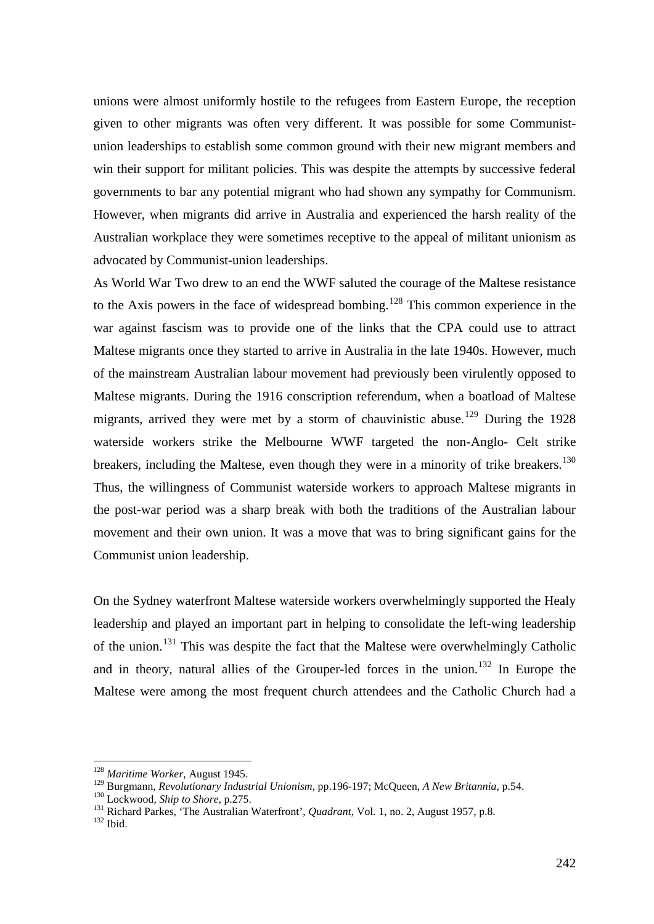unions were almost uniformly hostile to the refugees from Eastern Europe, the reception given to other migrants was often very different. It was possible for some Communistunion leaderships to establish some common ground with their new migrant members and win their support for militant policies. This was despite the attempts by successive federal governments to bar any potential migrant who had shown any sympathy for Communism. However, when migrants did arrive in Australia and experienced the harsh reality of the Australian workplace they were sometimes receptive to the appeal of militant unionism as advocated by Communist-union leaderships.

As World War Two drew to an end the WWF saluted the courage of the Maltese resistance to the Axis powers in the face of widespread bombing.<sup>[128](#page-21-0)</sup> This common experience in the war against fascism was to provide one of the links that the CPA could use to attract Maltese migrants once they started to arrive in Australia in the late 1940s. However, much of the mainstream Australian labour movement had previously been virulently opposed to Maltese migrants. During the 1916 conscription referendum, when a boatload of Maltese migrants, arrived they were met by a storm of chauvinistic abuse.<sup>[129](#page-21-1)</sup> During the 1928 waterside workers strike the Melbourne WWF targeted the non-Anglo- Celt strike breakers, including the Maltese, even though they were in a minority of trike breakers.<sup>[130](#page-21-2)</sup> Thus, the willingness of Communist waterside workers to approach Maltese migrants in the post-war period was a sharp break with both the traditions of the Australian labour movement and their own union. It was a move that was to bring significant gains for the Communist union leadership.

On the Sydney waterfront Maltese waterside workers overwhelmingly supported the Healy leadership and played an important part in helping to consolidate the left-wing leadership of the union.[131](#page-21-3) This was despite the fact that the Maltese were overwhelmingly Catholic and in theory, natural allies of the Grouper-led forces in the union.<sup>[132](#page-21-4)</sup> In Europe the Maltese were among the most frequent church attendees and the Catholic Church had a

<span id="page-21-0"></span><sup>&</sup>lt;sup>128</sup> Maritime Worker, August 1945.<br><sup>129</sup> Burgmann, *Revolutionary Industrial Unionism*, pp.196-197; McQueen, *A New Britannia*, p.54.

<span id="page-21-3"></span><span id="page-21-2"></span><span id="page-21-1"></span><sup>&</sup>lt;sup>130</sup> Lockwood, *Ship to Shore*, p.275.<br><sup>131</sup> Richard Parkes, 'The Australian Waterfront', *Quadrant*, Vol. 1, no. 2, August 1957, p.8.<br><sup>132</sup> Ibid.

<span id="page-21-4"></span>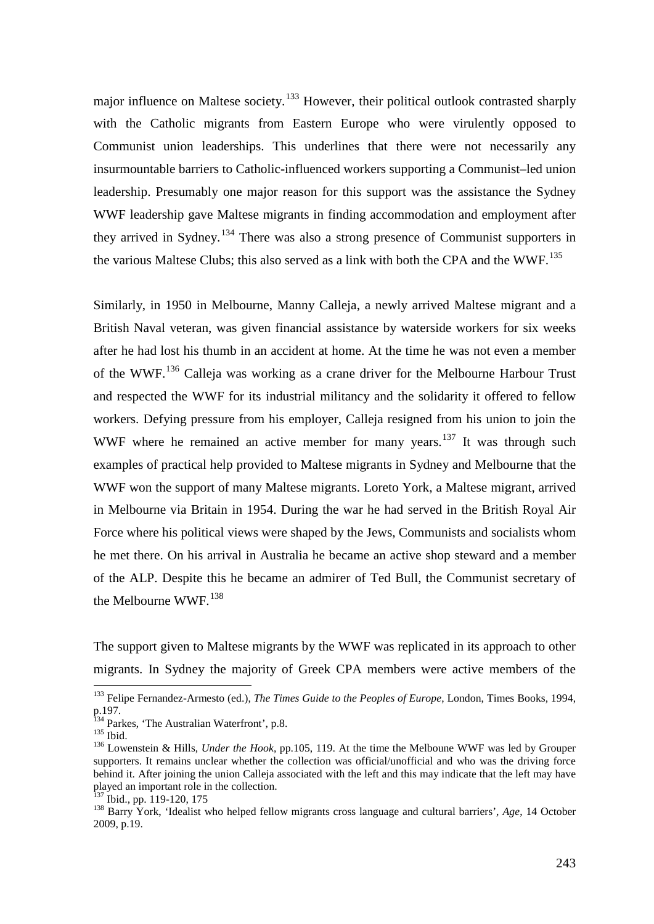major influence on Maltese society.<sup>[133](#page-22-0)</sup> However, their political outlook contrasted sharply with the Catholic migrants from Eastern Europe who were virulently opposed to Communist union leaderships. This underlines that there were not necessarily any insurmountable barriers to Catholic-influenced workers supporting a Communist–led union leadership. Presumably one major reason for this support was the assistance the Sydney WWF leadership gave Maltese migrants in finding accommodation and employment after they arrived in Sydney.<sup>[134](#page-22-1)</sup> There was also a strong presence of Communist supporters in the various Maltese Clubs; this also served as a link with both the CPA and the WWF.<sup>[135](#page-22-2)</sup>

Similarly, in 1950 in Melbourne, Manny Calleja, a newly arrived Maltese migrant and a British Naval veteran, was given financial assistance by waterside workers for six weeks after he had lost his thumb in an accident at home. At the time he was not even a member of the WWF.[136](#page-22-3) Calleja was working as a crane driver for the Melbourne Harbour Trust and respected the WWF for its industrial militancy and the solidarity it offered to fellow workers. Defying pressure from his employer, Calleja resigned from his union to join the WWF where he remained an active member for many years.<sup>[137](#page-22-4)</sup> It was through such examples of practical help provided to Maltese migrants in Sydney and Melbourne that the WWF won the support of many Maltese migrants. Loreto York, a Maltese migrant, arrived in Melbourne via Britain in 1954. During the war he had served in the British Royal Air Force where his political views were shaped by the Jews, Communists and socialists whom he met there. On his arrival in Australia he became an active shop steward and a member of the ALP. Despite this he became an admirer of Ted Bull, the Communist secretary of the Melbourne WWF.<sup>[138](#page-22-5)</sup>

The support given to Maltese migrants by the WWF was replicated in its approach to other migrants. In Sydney the majority of Greek CPA members were active members of the

<span id="page-22-0"></span> <sup>133</sup> Felipe Fernandez-Armesto (ed.), *The Times Guide to the Peoples of Europe*, London, Times Books, 1994, p.197.<br><sup>134</sup> Parkes, 'The Australian Waterfront', p.8.

<span id="page-22-3"></span><span id="page-22-2"></span><span id="page-22-1"></span><sup>135</sup> Ibid.<br><sup>136</sup> Lowenstein & Hills, *Under the Hook*, pp.105, 119. At the time the Melboune WWF was led by Grouper supporters. It remains unclear whether the collection was official/unofficial and who was the driving force behind it. After joining the union Calleja associated with the left and this may indicate that the left may have played an important role in the collection.<br> $\frac{137}{137}$  Ibid., pp. 119-120, 175

<span id="page-22-5"></span><span id="page-22-4"></span><sup>&</sup>lt;sup>138</sup> Barry York, 'Idealist who helped fellow migrants cross language and cultural barriers', *Age*, 14 October 2009, p.19.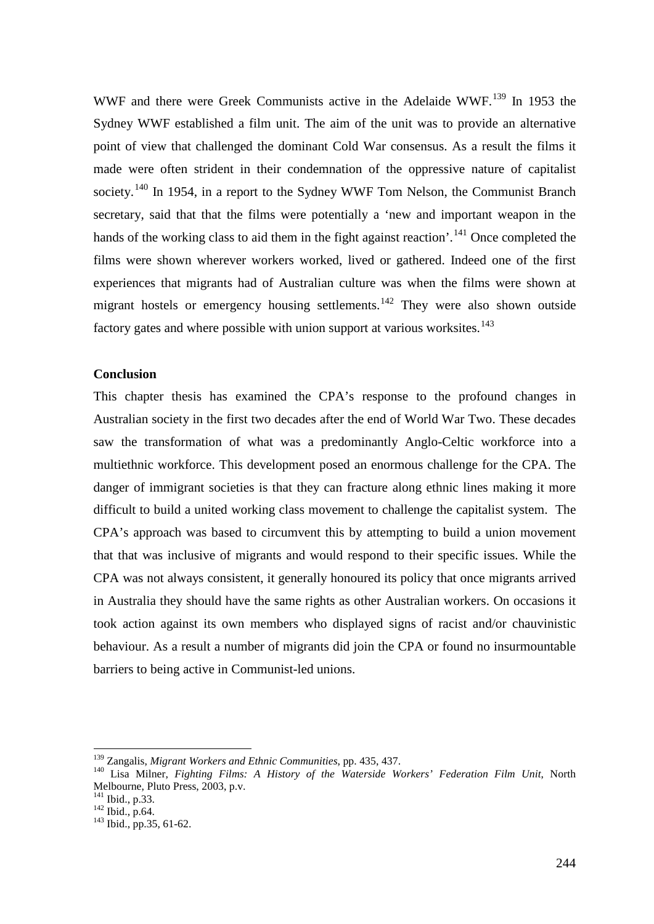WWF and there were Greek Communists active in the Adelaide WWF.<sup>[139](#page-23-0)</sup> In 1953 the Sydney WWF established a film unit. The aim of the unit was to provide an alternative point of view that challenged the dominant Cold War consensus. As a result the films it made were often strident in their condemnation of the oppressive nature of capitalist society.<sup>[140](#page-23-1)</sup> In 1954, in a report to the Sydney WWF Tom Nelson, the Communist Branch secretary, said that that the films were potentially a 'new and important weapon in the hands of the working class to aid them in the fight against reaction'.<sup>[141](#page-23-2)</sup> Once completed the films were shown wherever workers worked, lived or gathered. Indeed one of the first experiences that migrants had of Australian culture was when the films were shown at migrant hostels or emergency housing settlements.<sup>[142](#page-23-3)</sup> They were also shown outside factory gates and where possible with union support at various worksites.<sup>[143](#page-23-4)</sup>

#### **Conclusion**

This chapter thesis has examined the CPA's response to the profound changes in Australian society in the first two decades after the end of World War Two. These decades saw the transformation of what was a predominantly Anglo-Celtic workforce into a multiethnic workforce. This development posed an enormous challenge for the CPA. The danger of immigrant societies is that they can fracture along ethnic lines making it more difficult to build a united working class movement to challenge the capitalist system. The CPA's approach was based to circumvent this by attempting to build a union movement that that was inclusive of migrants and would respond to their specific issues. While the CPA was not always consistent, it generally honoured its policy that once migrants arrived in Australia they should have the same rights as other Australian workers. On occasions it took action against its own members who displayed signs of racist and/or chauvinistic behaviour. As a result a number of migrants did join the CPA or found no insurmountable barriers to being active in Communist-led unions.

<span id="page-23-1"></span><span id="page-23-0"></span><sup>&</sup>lt;sup>139</sup> Zangalis, *Migrant Workers and Ethnic Communities*, pp. 435, 437.<br><sup>140</sup> Lisa Milner, *Fighting Films: A History of the Waterside Workers' Federation Film Unit*, North Melbourne, Pluto Press, 2003, p.v.<br><sup>141</sup> Ibid., p.33.

<span id="page-23-4"></span><span id="page-23-3"></span><span id="page-23-2"></span> $\frac{142 \text{ Ibid., p.64}}{143 \text{ Ibid., pp.35, 61-62}}$